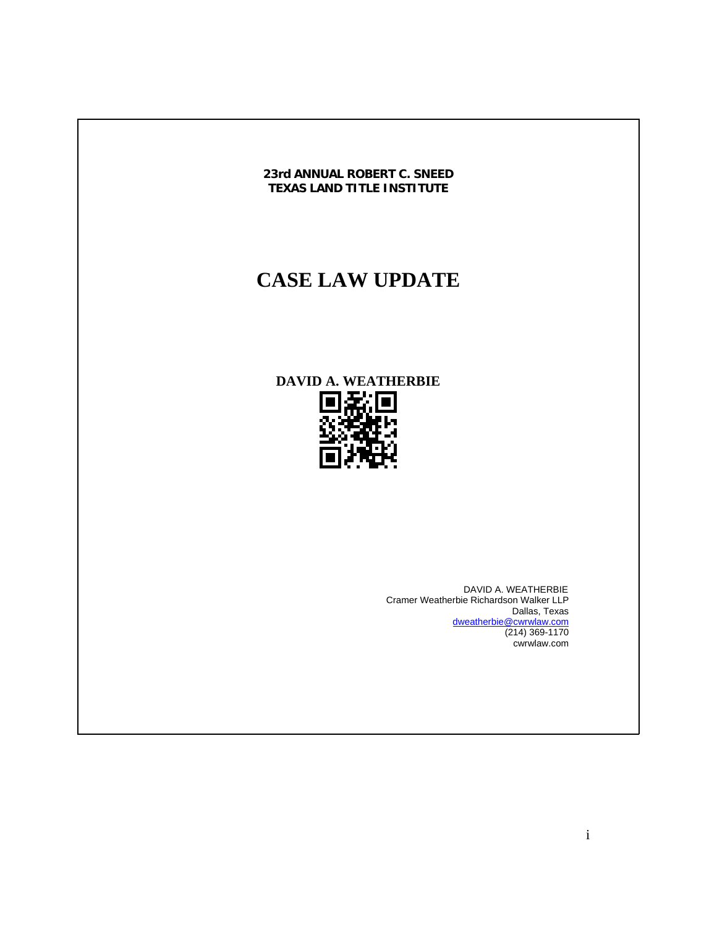

# **CASE LAW UPDATE**

**DAVID A. WEATHERBIE** 



 DAVID A. WEATHERBIE Cramer Weatherbie Richardson Walker LLP Dallas, Texas dweatherbie@cwrwlaw.com (214) 369-1170 cwrwlaw.com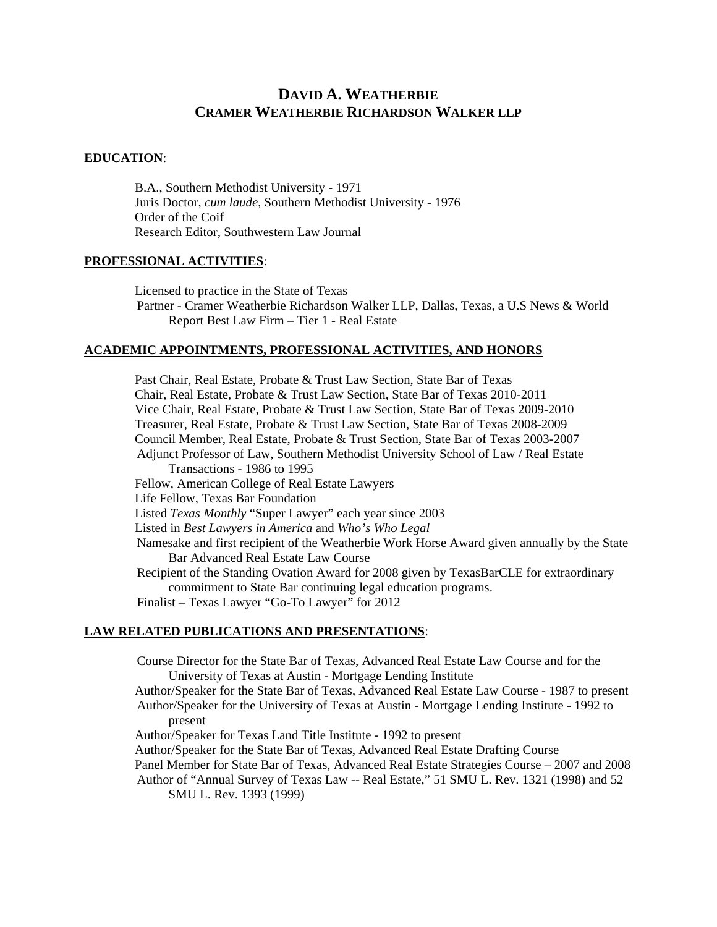## **DAVID A. WEATHERBIE CRAMER WEATHERBIE RICHARDSON WALKER LLP**

#### **EDUCATION**:

 B.A., Southern Methodist University - 1971 Juris Doctor, *cum laude*, Southern Methodist University - 1976 Order of the Coif Research Editor, Southwestern Law Journal

#### **PROFESSIONAL ACTIVITIES**:

 Licensed to practice in the State of Texas Partner - Cramer Weatherbie Richardson Walker LLP, Dallas, Texas, a U.S News & World Report Best Law Firm – Tier 1 - Real Estate

#### **ACADEMIC APPOINTMENTS, PROFESSIONAL ACTIVITIES, AND HONORS**

 Past Chair, Real Estate, Probate & Trust Law Section, State Bar of Texas Chair, Real Estate, Probate & Trust Law Section, State Bar of Texas 2010-2011 Vice Chair, Real Estate, Probate & Trust Law Section, State Bar of Texas 2009-2010 Treasurer, Real Estate, Probate & Trust Law Section, State Bar of Texas 2008-2009 Council Member, Real Estate, Probate & Trust Section, State Bar of Texas 2003-2007 Adjunct Professor of Law, Southern Methodist University School of Law / Real Estate Transactions - 1986 to 1995 Fellow, American College of Real Estate Lawyers Life Fellow, Texas Bar Foundation Listed *Texas Monthly* "Super Lawyer" each year since 2003 Listed in *Best Lawyers in America* and *Who's Who Legal* Namesake and first recipient of the Weatherbie Work Horse Award given annually by the State Bar Advanced Real Estate Law Course Recipient of the Standing Ovation Award for 2008 given by TexasBarCLE for extraordinary commitment to State Bar continuing legal education programs. Finalist – Texas Lawyer "Go-To Lawyer" for 2012

#### **LAW RELATED PUBLICATIONS AND PRESENTATIONS**:

Course Director for the State Bar of Texas, Advanced Real Estate Law Course and for the University of Texas at Austin - Mortgage Lending Institute

 Author/Speaker for the State Bar of Texas, Advanced Real Estate Law Course - 1987 to present Author/Speaker for the University of Texas at Austin - Mortgage Lending Institute - 1992 to present

Author/Speaker for Texas Land Title Institute - 1992 to present

Author/Speaker for the State Bar of Texas, Advanced Real Estate Drafting Course

Panel Member for State Bar of Texas, Advanced Real Estate Strategies Course – 2007 and 2008

Author of "Annual Survey of Texas Law -- Real Estate," 51 SMU L. Rev. 1321 (1998) and 52 SMU L. Rev. 1393 (1999)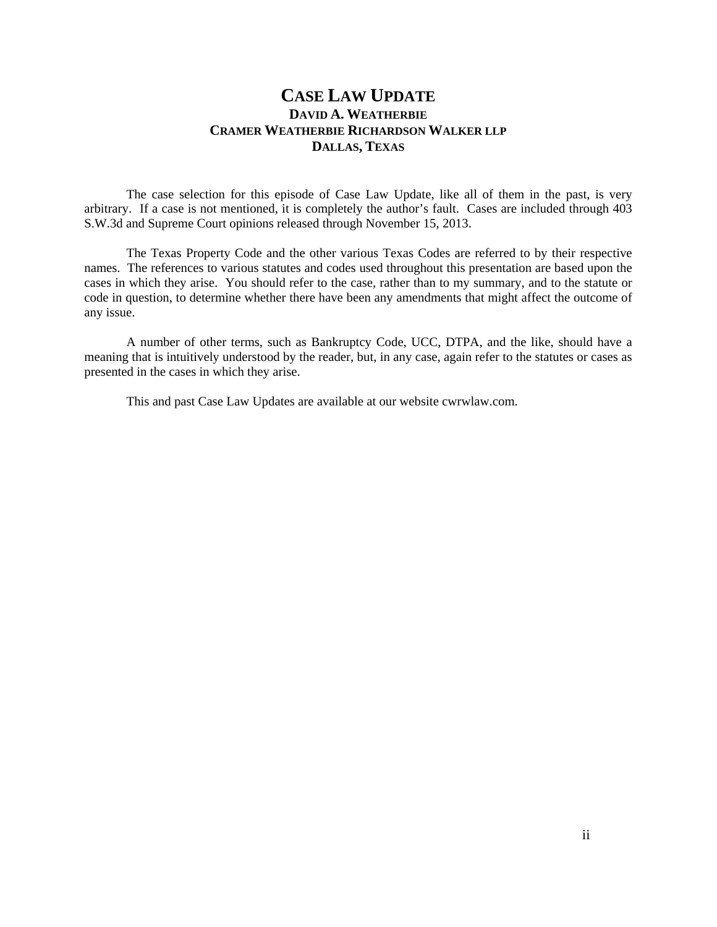### **CASE LAW UPDATE DAVID A. WEATHERBIE CRAMER WEATHERBIE RICHARDSON WALKER LLP DALLAS, TEXAS**

 The case selection for this episode of Case Law Update, like all of them in the past, is very arbitrary. If a case is not mentioned, it is completely the author's fault. Cases are included through 403 S.W.3d and Supreme Court opinions released through November 15, 2013.

The Texas Property Code and the other various Texas Codes are referred to by their respective names. The references to various statutes and codes used throughout this presentation are based upon the cases in which they arise. You should refer to the case, rather than to my summary, and to the statute or code in question, to determine whether there have been any amendments that might affect the outcome of any issue.

 A number of other terms, such as Bankruptcy Code, UCC, DTPA, and the like, should have a meaning that is intuitively understood by the reader, but, in any case, again refer to the statutes or cases as presented in the cases in which they arise.

This and past Case Law Updates are available at our website cwrwlaw.com.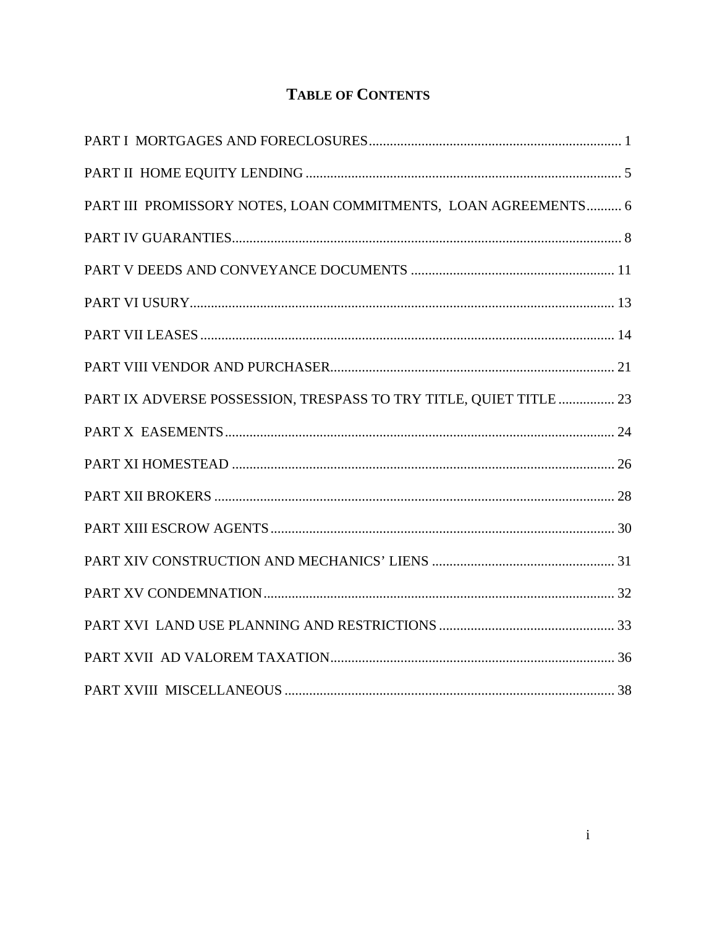## **TABLE OF CONTENTS**

| PART III PROMISSORY NOTES, LOAN COMMITMENTS, LOAN AGREEMENTS 6     |  |
|--------------------------------------------------------------------|--|
|                                                                    |  |
|                                                                    |  |
|                                                                    |  |
|                                                                    |  |
|                                                                    |  |
| PART IX ADVERSE POSSESSION, TRESPASS TO TRY TITLE, QUIET TITLE  23 |  |
|                                                                    |  |
|                                                                    |  |
|                                                                    |  |
|                                                                    |  |
|                                                                    |  |
|                                                                    |  |
|                                                                    |  |
|                                                                    |  |
|                                                                    |  |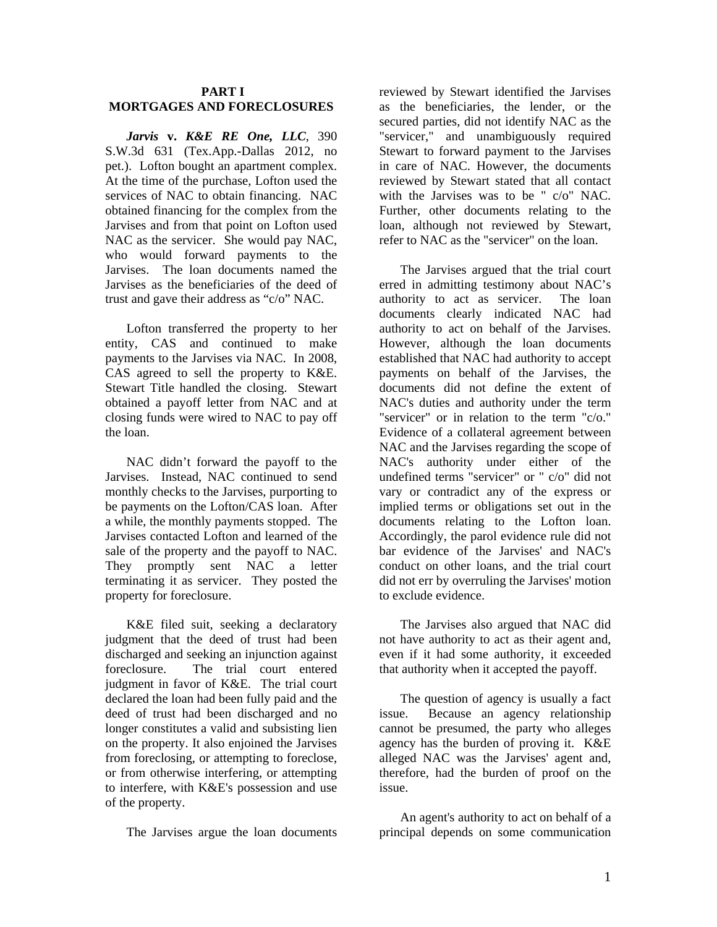#### **PART I MORTGAGES AND FORECLOSURES**

*Jarvis* **v.** *K&E RE One, LLC*, 390 S.W.3d 631 (Tex.App.-Dallas 2012, no pet.). Lofton bought an apartment complex. At the time of the purchase, Lofton used the services of NAC to obtain financing. NAC obtained financing for the complex from the Jarvises and from that point on Lofton used NAC as the servicer. She would pay NAC, who would forward payments to the Jarvises. The loan documents named the Jarvises as the beneficiaries of the deed of trust and gave their address as "c/o" NAC.

Lofton transferred the property to her entity, CAS and continued to make payments to the Jarvises via NAC. In 2008, CAS agreed to sell the property to K&E. Stewart Title handled the closing. Stewart obtained a payoff letter from NAC and at closing funds were wired to NAC to pay off the loan.

NAC didn't forward the payoff to the Jarvises. Instead, NAC continued to send monthly checks to the Jarvises, purporting to be payments on the Lofton/CAS loan. After a while, the monthly payments stopped. The Jarvises contacted Lofton and learned of the sale of the property and the payoff to NAC. They promptly sent NAC a letter terminating it as servicer. They posted the property for foreclosure.

K&E filed suit, seeking a declaratory judgment that the deed of trust had been discharged and seeking an injunction against foreclosure. The trial court entered judgment in favor of K&E. The trial court declared the loan had been fully paid and the deed of trust had been discharged and no longer constitutes a valid and subsisting lien on the property. It also enjoined the Jarvises from foreclosing, or attempting to foreclose, or from otherwise interfering, or attempting to interfere, with K&E's possession and use of the property.

The Jarvises argue the loan documents

reviewed by Stewart identified the Jarvises as the beneficiaries, the lender, or the secured parties, did not identify NAC as the "servicer," and unambiguously required Stewart to forward payment to the Jarvises in care of NAC. However, the documents reviewed by Stewart stated that all contact with the Jarvises was to be " c/o" NAC. Further, other documents relating to the loan, although not reviewed by Stewart, refer to NAC as the "servicer" on the loan.

The Jarvises argued that the trial court erred in admitting testimony about NAC's authority to act as servicer. The loan documents clearly indicated NAC had authority to act on behalf of the Jarvises. However, although the loan documents established that NAC had authority to accept payments on behalf of the Jarvises, the documents did not define the extent of NAC's duties and authority under the term "servicer" or in relation to the term "c/o." Evidence of a collateral agreement between NAC and the Jarvises regarding the scope of NAC's authority under either of the undefined terms "servicer" or " c/o" did not vary or contradict any of the express or implied terms or obligations set out in the documents relating to the Lofton loan. Accordingly, the parol evidence rule did not bar evidence of the Jarvises' and NAC's conduct on other loans, and the trial court did not err by overruling the Jarvises' motion to exclude evidence.

The Jarvises also argued that NAC did not have authority to act as their agent and, even if it had some authority, it exceeded that authority when it accepted the payoff.

The question of agency is usually a fact issue. Because an agency relationship cannot be presumed, the party who alleges agency has the burden of proving it. K&E alleged NAC was the Jarvises' agent and, therefore, had the burden of proof on the issue.

An agent's authority to act on behalf of a principal depends on some communication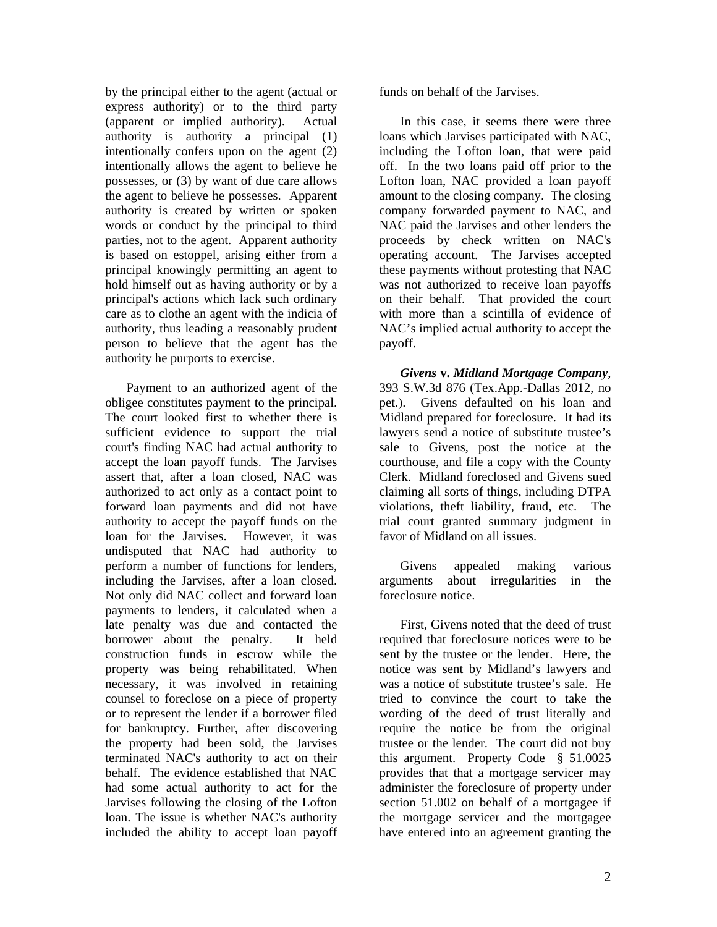by the principal either to the agent (actual or express authority) or to the third party (apparent or implied authority). Actual authority is authority a principal (1) intentionally confers upon on the agent (2) intentionally allows the agent to believe he possesses, or (3) by want of due care allows the agent to believe he possesses. Apparent authority is created by written or spoken words or conduct by the principal to third parties, not to the agent. Apparent authority is based on estoppel, arising either from a principal knowingly permitting an agent to hold himself out as having authority or by a principal's actions which lack such ordinary care as to clothe an agent with the indicia of authority, thus leading a reasonably prudent person to believe that the agent has the authority he purports to exercise.

Payment to an authorized agent of the obligee constitutes payment to the principal. The court looked first to whether there is sufficient evidence to support the trial court's finding NAC had actual authority to accept the loan payoff funds. The Jarvises assert that, after a loan closed, NAC was authorized to act only as a contact point to forward loan payments and did not have authority to accept the payoff funds on the loan for the Jarvises. However, it was undisputed that NAC had authority to perform a number of functions for lenders, including the Jarvises, after a loan closed. Not only did NAC collect and forward loan payments to lenders, it calculated when a late penalty was due and contacted the borrower about the penalty. It held construction funds in escrow while the property was being rehabilitated. When necessary, it was involved in retaining counsel to foreclose on a piece of property or to represent the lender if a borrower filed for bankruptcy. Further, after discovering the property had been sold, the Jarvises terminated NAC's authority to act on their behalf. The evidence established that NAC had some actual authority to act for the Jarvises following the closing of the Lofton loan. The issue is whether NAC's authority included the ability to accept loan payoff

funds on behalf of the Jarvises.

In this case, it seems there were three loans which Jarvises participated with NAC, including the Lofton loan, that were paid off. In the two loans paid off prior to the Lofton loan, NAC provided a loan payoff amount to the closing company. The closing company forwarded payment to NAC, and NAC paid the Jarvises and other lenders the proceeds by check written on NAC's operating account. The Jarvises accepted these payments without protesting that NAC was not authorized to receive loan payoffs on their behalf. That provided the court with more than a scintilla of evidence of NAC's implied actual authority to accept the payoff.

*Givens* **v.** *Midland Mortgage Company*, 393 S.W.3d 876 (Tex.App.-Dallas 2012, no pet.). Givens defaulted on his loan and Midland prepared for foreclosure. It had its lawyers send a notice of substitute trustee's sale to Givens, post the notice at the courthouse, and file a copy with the County Clerk. Midland foreclosed and Givens sued claiming all sorts of things, including DTPA violations, theft liability, fraud, etc. The trial court granted summary judgment in favor of Midland on all issues.

Givens appealed making various arguments about irregularities in the foreclosure notice.

First, Givens noted that the deed of trust required that foreclosure notices were to be sent by the trustee or the lender. Here, the notice was sent by Midland's lawyers and was a notice of substitute trustee's sale. He tried to convince the court to take the wording of the deed of trust literally and require the notice be from the original trustee or the lender. The court did not buy this argument. Property Code § 51.0025 provides that that a mortgage servicer may administer the foreclosure of property under section 51.002 on behalf of a mortgagee if the mortgage servicer and the mortgagee have entered into an agreement granting the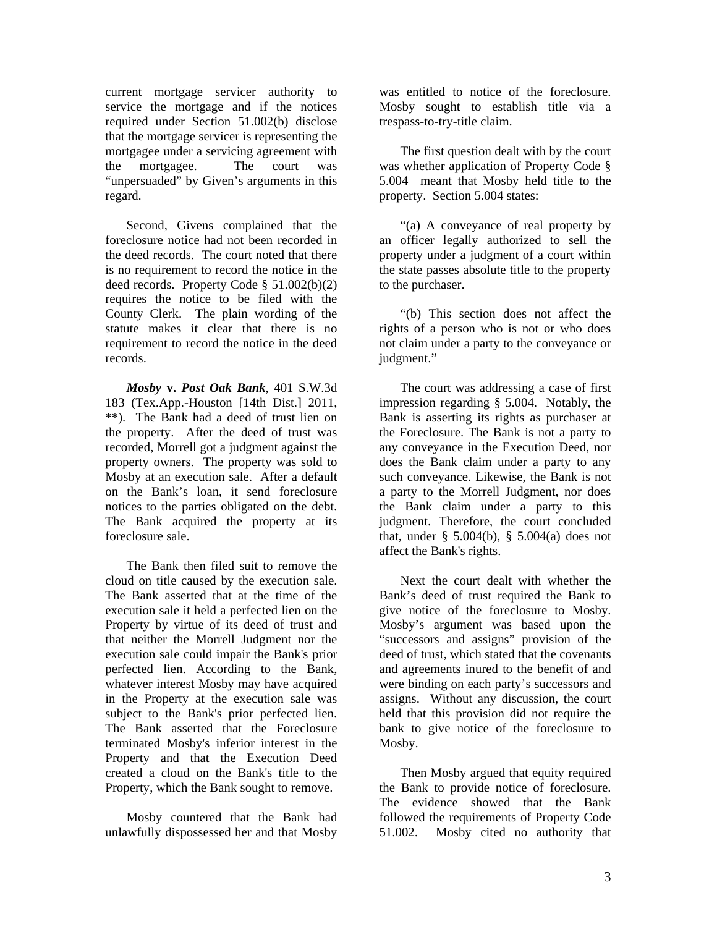current mortgage servicer authority to service the mortgage and if the notices required under Section 51.002(b) disclose that the mortgage servicer is representing the mortgagee under a servicing agreement with the mortgagee. The court was "unpersuaded" by Given's arguments in this regard.

Second, Givens complained that the foreclosure notice had not been recorded in the deed records. The court noted that there is no requirement to record the notice in the deed records. Property Code § 51.002(b)(2) requires the notice to be filed with the County Clerk. The plain wording of the statute makes it clear that there is no requirement to record the notice in the deed records.

*Mosby* **v.** *Post Oak Bank*, 401 S.W.3d 183 (Tex.App.-Houston [14th Dist.] 2011, \*\*). The Bank had a deed of trust lien on the property. After the deed of trust was recorded, Morrell got a judgment against the property owners. The property was sold to Mosby at an execution sale. After a default on the Bank's loan, it send foreclosure notices to the parties obligated on the debt. The Bank acquired the property at its foreclosure sale.

The Bank then filed suit to remove the cloud on title caused by the execution sale. The Bank asserted that at the time of the execution sale it held a perfected lien on the Property by virtue of its deed of trust and that neither the Morrell Judgment nor the execution sale could impair the Bank's prior perfected lien. According to the Bank, whatever interest Mosby may have acquired in the Property at the execution sale was subject to the Bank's prior perfected lien. The Bank asserted that the Foreclosure terminated Mosby's inferior interest in the Property and that the Execution Deed created a cloud on the Bank's title to the Property, which the Bank sought to remove.

Mosby countered that the Bank had unlawfully dispossessed her and that Mosby

was entitled to notice of the foreclosure. Mosby sought to establish title via a trespass-to-try-title claim.

The first question dealt with by the court was whether application of Property Code § 5.004 meant that Mosby held title to the property. Section 5.004 states:

"(a) A conveyance of real property by an officer legally authorized to sell the property under a judgment of a court within the state passes absolute title to the property to the purchaser.

"(b) This section does not affect the rights of a person who is not or who does not claim under a party to the conveyance or judgment."

The court was addressing a case of first impression regarding § 5.004. Notably, the Bank is asserting its rights as purchaser at the Foreclosure. The Bank is not a party to any conveyance in the Execution Deed, nor does the Bank claim under a party to any such conveyance. Likewise, the Bank is not a party to the Morrell Judgment, nor does the Bank claim under a party to this judgment. Therefore, the court concluded that, under  $\S$  5.004(b),  $\S$  5.004(a) does not affect the Bank's rights.

Next the court dealt with whether the Bank's deed of trust required the Bank to give notice of the foreclosure to Mosby. Mosby's argument was based upon the "successors and assigns" provision of the deed of trust, which stated that the covenants and agreements inured to the benefit of and were binding on each party's successors and assigns. Without any discussion, the court held that this provision did not require the bank to give notice of the foreclosure to Mosby.

Then Mosby argued that equity required the Bank to provide notice of foreclosure. The evidence showed that the Bank followed the requirements of Property Code 51.002. Mosby cited no authority that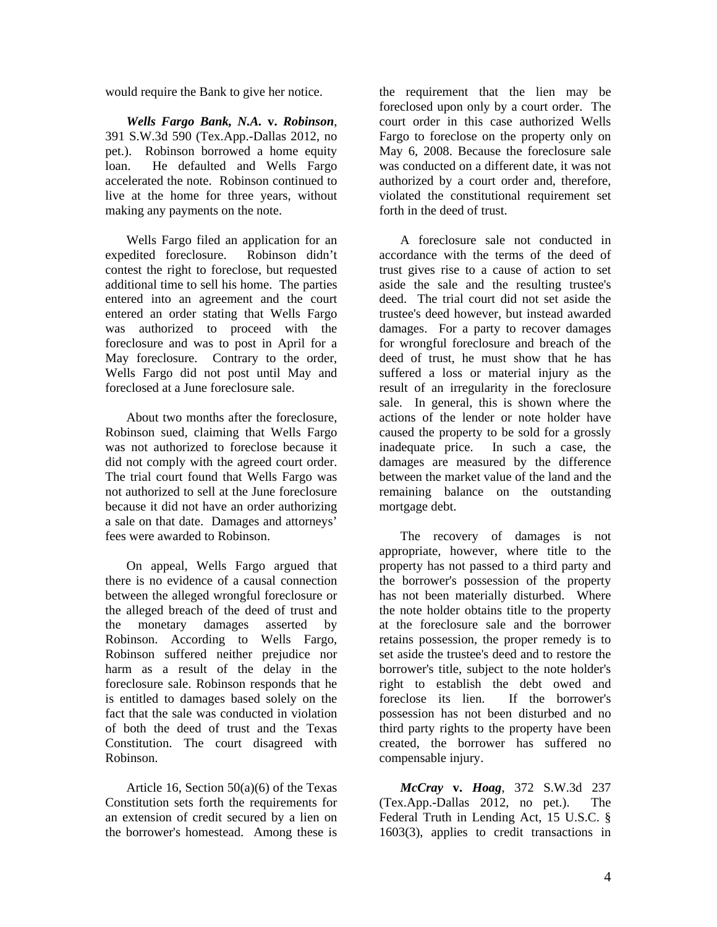would require the Bank to give her notice.

*Wells Fargo Bank, N.A.* **v.** *Robinson*, 391 S.W.3d 590 (Tex.App.-Dallas 2012, no pet.). Robinson borrowed a home equity loan. He defaulted and Wells Fargo accelerated the note. Robinson continued to live at the home for three years, without making any payments on the note.

Wells Fargo filed an application for an expedited foreclosure. Robinson didn't contest the right to foreclose, but requested additional time to sell his home. The parties entered into an agreement and the court entered an order stating that Wells Fargo was authorized to proceed with the foreclosure and was to post in April for a May foreclosure. Contrary to the order, Wells Fargo did not post until May and foreclosed at a June foreclosure sale.

About two months after the foreclosure, Robinson sued, claiming that Wells Fargo was not authorized to foreclose because it did not comply with the agreed court order. The trial court found that Wells Fargo was not authorized to sell at the June foreclosure because it did not have an order authorizing a sale on that date. Damages and attorneys' fees were awarded to Robinson.

On appeal, Wells Fargo argued that there is no evidence of a causal connection between the alleged wrongful foreclosure or the alleged breach of the deed of trust and the monetary damages asserted by Robinson. According to Wells Fargo, Robinson suffered neither prejudice nor harm as a result of the delay in the foreclosure sale. Robinson responds that he is entitled to damages based solely on the fact that the sale was conducted in violation of both the deed of trust and the Texas Constitution. The court disagreed with Robinson.

Article 16, Section 50(a)(6) of the Texas Constitution sets forth the requirements for an extension of credit secured by a lien on the borrower's homestead. Among these is

the requirement that the lien may be foreclosed upon only by a court order. The court order in this case authorized Wells Fargo to foreclose on the property only on May 6, 2008. Because the foreclosure sale was conducted on a different date, it was not authorized by a court order and, therefore, violated the constitutional requirement set forth in the deed of trust.

A foreclosure sale not conducted in accordance with the terms of the deed of trust gives rise to a cause of action to set aside the sale and the resulting trustee's deed. The trial court did not set aside the trustee's deed however, but instead awarded damages. For a party to recover damages for wrongful foreclosure and breach of the deed of trust, he must show that he has suffered a loss or material injury as the result of an irregularity in the foreclosure sale. In general, this is shown where the actions of the lender or note holder have caused the property to be sold for a grossly inadequate price. In such a case, the damages are measured by the difference between the market value of the land and the remaining balance on the outstanding mortgage debt.

The recovery of damages is not appropriate, however, where title to the property has not passed to a third party and the borrower's possession of the property has not been materially disturbed. Where the note holder obtains title to the property at the foreclosure sale and the borrower retains possession, the proper remedy is to set aside the trustee's deed and to restore the borrower's title, subject to the note holder's right to establish the debt owed and foreclose its lien. If the borrower's possession has not been disturbed and no third party rights to the property have been created, the borrower has suffered no compensable injury.

*McCray* **v.** *Hoag*, 372 S.W.3d 237 (Tex.App.-Dallas 2012, no pet.). The Federal Truth in Lending Act, 15 U.S.C. § 1603(3), applies to credit transactions in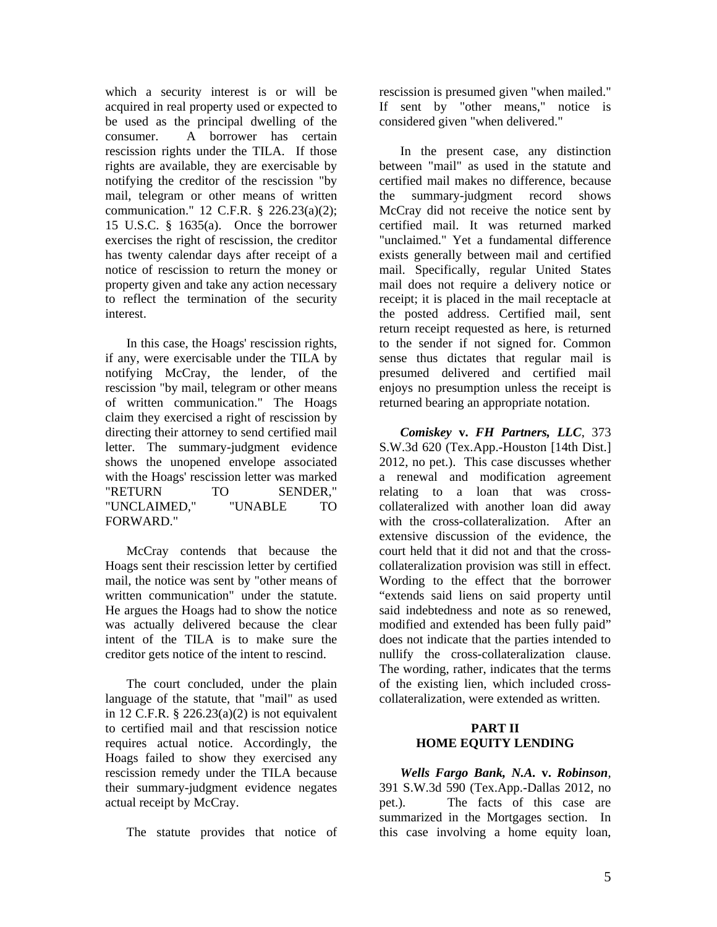which a security interest is or will be acquired in real property used or expected to be used as the principal dwelling of the consumer. A borrower has certain rescission rights under the TILA. If those rights are available, they are exercisable by notifying the creditor of the rescission "by mail, telegram or other means of written communication." 12 C.F.R. § 226.23(a)(2); 15 U.S.C. § 1635(a). Once the borrower exercises the right of rescission, the creditor has twenty calendar days after receipt of a notice of rescission to return the money or property given and take any action necessary to reflect the termination of the security interest.

In this case, the Hoags' rescission rights, if any, were exercisable under the TILA by notifying McCray, the lender, of the rescission "by mail, telegram or other means of written communication." The Hoags claim they exercised a right of rescission by directing their attorney to send certified mail letter. The summary-judgment evidence shows the unopened envelope associated with the Hoags' rescission letter was marked "RETURN TO SENDER," "UNCLAIMED," "UNABLE TO FORWARD."

McCray contends that because the Hoags sent their rescission letter by certified mail, the notice was sent by "other means of written communication" under the statute. He argues the Hoags had to show the notice was actually delivered because the clear intent of the TILA is to make sure the creditor gets notice of the intent to rescind.

The court concluded, under the plain language of the statute, that "mail" as used in 12 C.F.R.  $\S$  226.23(a)(2) is not equivalent to certified mail and that rescission notice requires actual notice. Accordingly, the Hoags failed to show they exercised any rescission remedy under the TILA because their summary-judgment evidence negates actual receipt by McCray.

The statute provides that notice of

rescission is presumed given "when mailed." If sent by "other means," notice is considered given "when delivered."

In the present case, any distinction between "mail" as used in the statute and certified mail makes no difference, because the summary-judgment record shows McCray did not receive the notice sent by certified mail. It was returned marked "unclaimed." Yet a fundamental difference exists generally between mail and certified mail. Specifically, regular United States mail does not require a delivery notice or receipt; it is placed in the mail receptacle at the posted address. Certified mail, sent return receipt requested as here, is returned to the sender if not signed for. Common sense thus dictates that regular mail is presumed delivered and certified mail enjoys no presumption unless the receipt is returned bearing an appropriate notation.

*Comiskey* **v.** *FH Partners, LLC*, 373 S.W.3d 620 (Tex.App.-Houston [14th Dist.] 2012, no pet.). This case discusses whether a renewal and modification agreement relating to a loan that was crosscollateralized with another loan did away with the cross-collateralization. After an extensive discussion of the evidence, the court held that it did not and that the crosscollateralization provision was still in effect. Wording to the effect that the borrower "extends said liens on said property until said indebtedness and note as so renewed, modified and extended has been fully paid" does not indicate that the parties intended to nullify the cross-collateralization clause. The wording, rather, indicates that the terms of the existing lien, which included crosscollateralization, were extended as written.

#### **PART II HOME EQUITY LENDING**

*Wells Fargo Bank, N.A.* **v.** *Robinson*, 391 S.W.3d 590 (Tex.App.-Dallas 2012, no pet.). The facts of this case are summarized in the Mortgages section. In this case involving a home equity loan,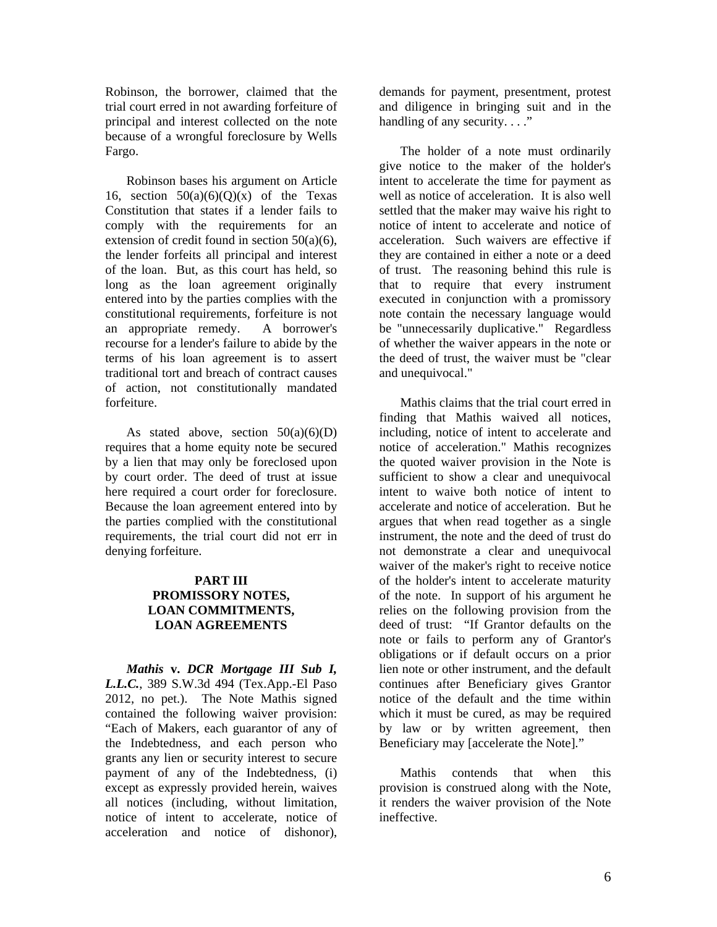Robinson, the borrower, claimed that the trial court erred in not awarding forfeiture of principal and interest collected on the note because of a wrongful foreclosure by Wells Fargo.

Robinson bases his argument on Article 16, section  $50(a)(6)(Q)(x)$  of the Texas Constitution that states if a lender fails to comply with the requirements for an extension of credit found in section 50(a)(6), the lender forfeits all principal and interest of the loan. But, as this court has held, so long as the loan agreement originally entered into by the parties complies with the constitutional requirements, forfeiture is not an appropriate remedy. A borrower's recourse for a lender's failure to abide by the terms of his loan agreement is to assert traditional tort and breach of contract causes of action, not constitutionally mandated forfeiture.

As stated above, section  $50(a)(6)(D)$ requires that a home equity note be secured by a lien that may only be foreclosed upon by court order. The deed of trust at issue here required a court order for foreclosure. Because the loan agreement entered into by the parties complied with the constitutional requirements, the trial court did not err in denying forfeiture.

#### **PART III PROMISSORY NOTES, LOAN COMMITMENTS, LOAN AGREEMENTS**

*Mathis* **v.** *DCR Mortgage III Sub I, L.L.C.*, 389 S.W.3d 494 (Tex.App.-El Paso 2012, no pet.). The Note Mathis signed contained the following waiver provision: "Each of Makers, each guarantor of any of the Indebtedness, and each person who grants any lien or security interest to secure payment of any of the Indebtedness, (i) except as expressly provided herein, waives all notices (including, without limitation, notice of intent to accelerate, notice of acceleration and notice of dishonor),

demands for payment, presentment, protest and diligence in bringing suit and in the handling of any security...."

The holder of a note must ordinarily give notice to the maker of the holder's intent to accelerate the time for payment as well as notice of acceleration. It is also well settled that the maker may waive his right to notice of intent to accelerate and notice of acceleration. Such waivers are effective if they are contained in either a note or a deed of trust. The reasoning behind this rule is that to require that every instrument executed in conjunction with a promissory note contain the necessary language would be "unnecessarily duplicative." Regardless of whether the waiver appears in the note or the deed of trust, the waiver must be "clear and unequivocal."

Mathis claims that the trial court erred in finding that Mathis waived all notices, including, notice of intent to accelerate and notice of acceleration." Mathis recognizes the quoted waiver provision in the Note is sufficient to show a clear and unequivocal intent to waive both notice of intent to accelerate and notice of acceleration. But he argues that when read together as a single instrument, the note and the deed of trust do not demonstrate a clear and unequivocal waiver of the maker's right to receive notice of the holder's intent to accelerate maturity of the note. In support of his argument he relies on the following provision from the deed of trust: "If Grantor defaults on the note or fails to perform any of Grantor's obligations or if default occurs on a prior lien note or other instrument, and the default continues after Beneficiary gives Grantor notice of the default and the time within which it must be cured, as may be required by law or by written agreement, then Beneficiary may [accelerate the Note]."

Mathis contends that when this provision is construed along with the Note, it renders the waiver provision of the Note ineffective.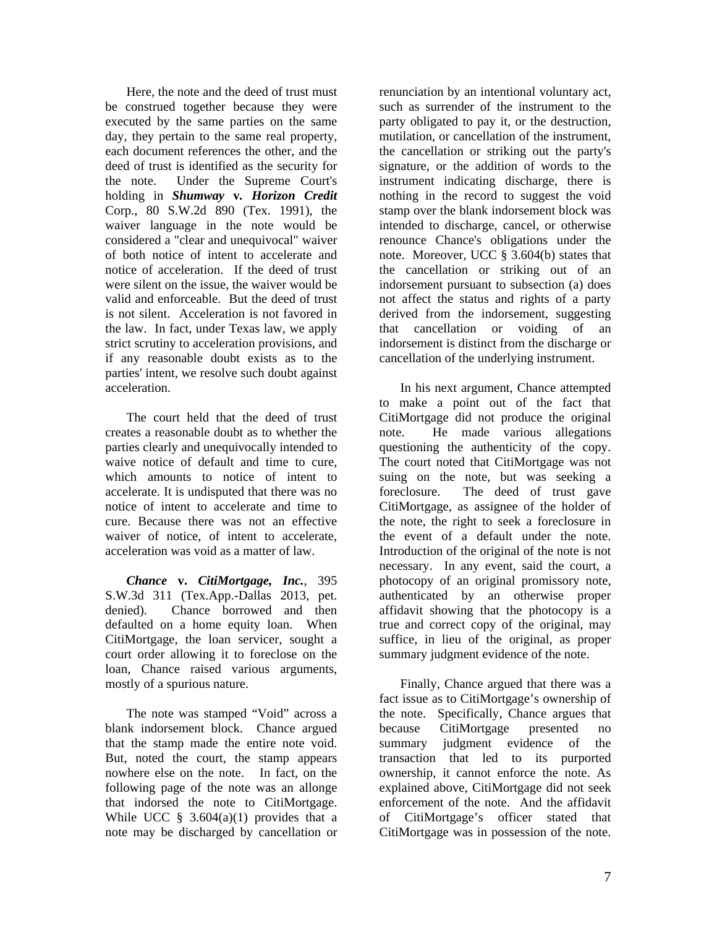Here, the note and the deed of trust must be construed together because they were executed by the same parties on the same day, they pertain to the same real property, each document references the other, and the deed of trust is identified as the security for the note. Under the Supreme Court's holding in *Shumway* **v***. Horizon Credit* Corp., 80 S.W.2d 890 (Tex. 1991), the waiver language in the note would be considered a "clear and unequivocal" waiver of both notice of intent to accelerate and notice of acceleration. If the deed of trust were silent on the issue, the waiver would be valid and enforceable. But the deed of trust is not silent. Acceleration is not favored in the law. In fact, under Texas law, we apply strict scrutiny to acceleration provisions, and if any reasonable doubt exists as to the parties' intent, we resolve such doubt against acceleration.

The court held that the deed of trust creates a reasonable doubt as to whether the parties clearly and unequivocally intended to waive notice of default and time to cure, which amounts to notice of intent to accelerate. It is undisputed that there was no notice of intent to accelerate and time to cure. Because there was not an effective waiver of notice, of intent to accelerate, acceleration was void as a matter of law.

*Chance* **v.** *CitiMortgage, Inc.*, 395 S.W.3d 311 (Tex.App.-Dallas 2013, pet. denied). Chance borrowed and then defaulted on a home equity loan. When CitiMortgage, the loan servicer, sought a court order allowing it to foreclose on the loan, Chance raised various arguments, mostly of a spurious nature.

The note was stamped "Void" across a blank indorsement block. Chance argued that the stamp made the entire note void. But, noted the court, the stamp appears nowhere else on the note. In fact, on the following page of the note was an allonge that indorsed the note to CitiMortgage. While UCC  $§$  3.604(a)(1) provides that a note may be discharged by cancellation or

renunciation by an intentional voluntary act, such as surrender of the instrument to the party obligated to pay it, or the destruction, mutilation, or cancellation of the instrument, the cancellation or striking out the party's signature, or the addition of words to the instrument indicating discharge, there is nothing in the record to suggest the void stamp over the blank indorsement block was intended to discharge, cancel, or otherwise renounce Chance's obligations under the note. Moreover, UCC § 3.604(b) states that the cancellation or striking out of an indorsement pursuant to subsection (a) does not affect the status and rights of a party derived from the indorsement, suggesting that cancellation or voiding of an indorsement is distinct from the discharge or cancellation of the underlying instrument.

In his next argument, Chance attempted to make a point out of the fact that CitiMortgage did not produce the original note. He made various allegations questioning the authenticity of the copy. The court noted that CitiMortgage was not suing on the note, but was seeking a foreclosure. The deed of trust gave CitiMortgage, as assignee of the holder of the note, the right to seek a foreclosure in the event of a default under the note. Introduction of the original of the note is not necessary. In any event, said the court, a photocopy of an original promissory note, authenticated by an otherwise proper affidavit showing that the photocopy is a true and correct copy of the original, may suffice, in lieu of the original, as proper summary judgment evidence of the note.

Finally, Chance argued that there was a fact issue as to CitiMortgage's ownership of the note. Specifically, Chance argues that because CitiMortgage presented no summary judgment evidence of the transaction that led to its purported ownership, it cannot enforce the note. As explained above, CitiMortgage did not seek enforcement of the note. And the affidavit of CitiMortgage's officer stated that CitiMortgage was in possession of the note.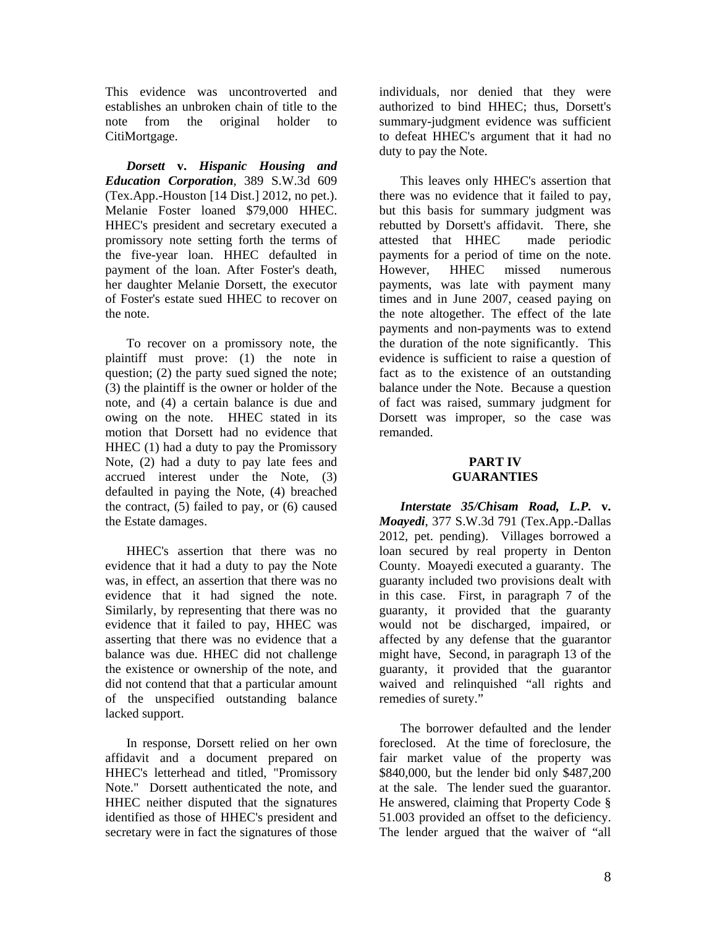This evidence was uncontroverted and establishes an unbroken chain of title to the note from the original holder to CitiMortgage.

*Dorsett* **v.** *Hispanic Housing and Education Corporation*, 389 S.W.3d 609 (Tex.App.-Houston [14 Dist.] 2012, no pet.). Melanie Foster loaned \$79,000 HHEC. HHEC's president and secretary executed a promissory note setting forth the terms of the five-year loan. HHEC defaulted in payment of the loan. After Foster's death, her daughter Melanie Dorsett, the executor of Foster's estate sued HHEC to recover on the note.

To recover on a promissory note, the plaintiff must prove: (1) the note in question; (2) the party sued signed the note; (3) the plaintiff is the owner or holder of the note, and (4) a certain balance is due and owing on the note. HHEC stated in its motion that Dorsett had no evidence that HHEC (1) had a duty to pay the Promissory Note, (2) had a duty to pay late fees and accrued interest under the Note, (3) defaulted in paying the Note, (4) breached the contract, (5) failed to pay, or (6) caused the Estate damages.

HHEC's assertion that there was no evidence that it had a duty to pay the Note was, in effect, an assertion that there was no evidence that it had signed the note. Similarly, by representing that there was no evidence that it failed to pay, HHEC was asserting that there was no evidence that a balance was due. HHEC did not challenge the existence or ownership of the note, and did not contend that that a particular amount of the unspecified outstanding balance lacked support.

In response, Dorsett relied on her own affidavit and a document prepared on HHEC's letterhead and titled, "Promissory Note." Dorsett authenticated the note, and HHEC neither disputed that the signatures identified as those of HHEC's president and secretary were in fact the signatures of those

individuals, nor denied that they were authorized to bind HHEC; thus, Dorsett's summary-judgment evidence was sufficient to defeat HHEC's argument that it had no duty to pay the Note.

This leaves only HHEC's assertion that there was no evidence that it failed to pay, but this basis for summary judgment was rebutted by Dorsett's affidavit. There, she attested that HHEC made periodic payments for a period of time on the note. However, HHEC missed numerous payments, was late with payment many times and in June 2007, ceased paying on the note altogether. The effect of the late payments and non-payments was to extend the duration of the note significantly. This evidence is sufficient to raise a question of fact as to the existence of an outstanding balance under the Note. Because a question of fact was raised, summary judgment for Dorsett was improper, so the case was remanded.

#### **PART IV GUARANTIES**

*Interstate 35/Chisam Road, L.P.* **v.** *Moayedi*, 377 S.W.3d 791 (Tex.App.-Dallas 2012, pet. pending). Villages borrowed a loan secured by real property in Denton County. Moayedi executed a guaranty. The guaranty included two provisions dealt with in this case. First, in paragraph 7 of the guaranty, it provided that the guaranty would not be discharged, impaired, or affected by any defense that the guarantor might have, Second, in paragraph 13 of the guaranty, it provided that the guarantor waived and relinquished "all rights and remedies of surety."

The borrower defaulted and the lender foreclosed. At the time of foreclosure, the fair market value of the property was \$840,000, but the lender bid only \$487,200 at the sale. The lender sued the guarantor. He answered, claiming that Property Code § 51.003 provided an offset to the deficiency. The lender argued that the waiver of "all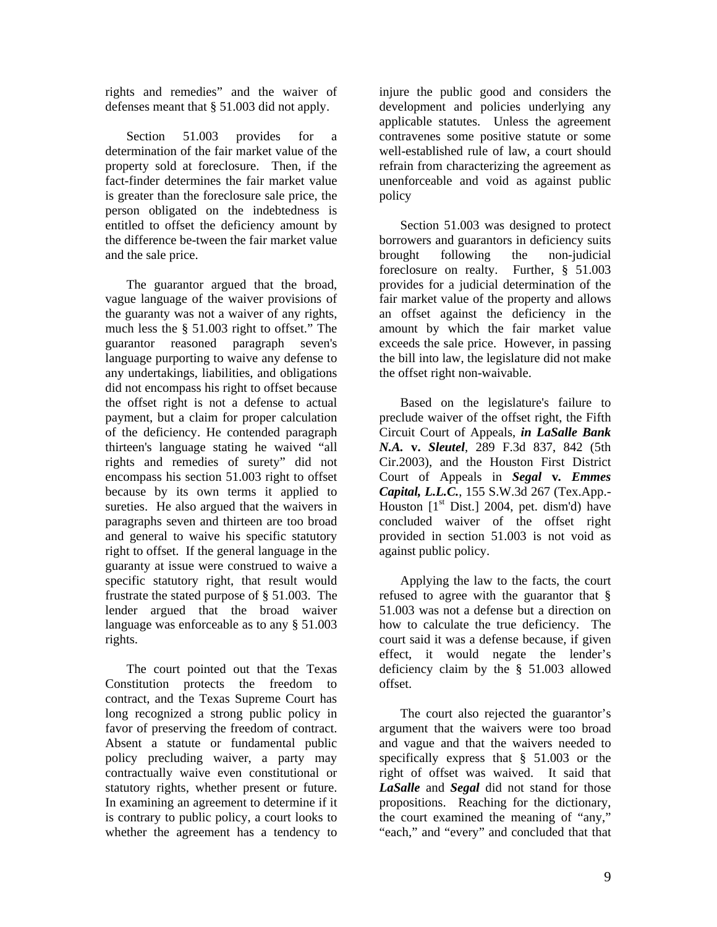rights and remedies" and the waiver of defenses meant that § 51.003 did not apply.

Section 51.003 provides for a determination of the fair market value of the property sold at foreclosure. Then, if the fact-finder determines the fair market value is greater than the foreclosure sale price, the person obligated on the indebtedness is entitled to offset the deficiency amount by the difference be-tween the fair market value and the sale price.

The guarantor argued that the broad, vague language of the waiver provisions of the guaranty was not a waiver of any rights, much less the § 51.003 right to offset." The guarantor reasoned paragraph seven's language purporting to waive any defense to any undertakings, liabilities, and obligations did not encompass his right to offset because the offset right is not a defense to actual payment, but a claim for proper calculation of the deficiency. He contended paragraph thirteen's language stating he waived "all rights and remedies of surety" did not encompass his section 51.003 right to offset because by its own terms it applied to sureties. He also argued that the waivers in paragraphs seven and thirteen are too broad and general to waive his specific statutory right to offset. If the general language in the guaranty at issue were construed to waive a specific statutory right, that result would frustrate the stated purpose of § 51.003. The lender argued that the broad waiver language was enforceable as to any § 51.003 rights.

The court pointed out that the Texas Constitution protects the freedom to contract, and the Texas Supreme Court has long recognized a strong public policy in favor of preserving the freedom of contract. Absent a statute or fundamental public policy precluding waiver, a party may contractually waive even constitutional or statutory rights, whether present or future. In examining an agreement to determine if it is contrary to public policy, a court looks to whether the agreement has a tendency to

injure the public good and considers the development and policies underlying any applicable statutes. Unless the agreement contravenes some positive statute or some well-established rule of law, a court should refrain from characterizing the agreement as unenforceable and void as against public policy

Section 51.003 was designed to protect borrowers and guarantors in deficiency suits brought following the non-judicial foreclosure on realty. Further, § 51.003 provides for a judicial determination of the fair market value of the property and allows an offset against the deficiency in the amount by which the fair market value exceeds the sale price. However, in passing the bill into law, the legislature did not make the offset right non-waivable.

Based on the legislature's failure to preclude waiver of the offset right, the Fifth Circuit Court of Appeals, *in LaSalle Bank N.A.* **v.** *Sleutel*, 289 F.3d 837, 842 (5th Cir.2003), and the Houston First District Court of Appeals in *Segal* **v***. Emmes Capital, L.L.C.*, 155 S.W.3d 267 (Tex.App.- Houston  $[1<sup>st</sup> Dist.]$  2004, pet. dism'd) have concluded waiver of the offset right provided in section 51.003 is not void as against public policy.

Applying the law to the facts, the court refused to agree with the guarantor that § 51.003 was not a defense but a direction on how to calculate the true deficiency. The court said it was a defense because, if given effect, it would negate the lender's deficiency claim by the § 51.003 allowed offset.

The court also rejected the guarantor's argument that the waivers were too broad and vague and that the waivers needed to specifically express that § 51.003 or the right of offset was waived. It said that *LaSalle* and *Segal* did not stand for those propositions. Reaching for the dictionary, the court examined the meaning of "any," "each," and "every" and concluded that that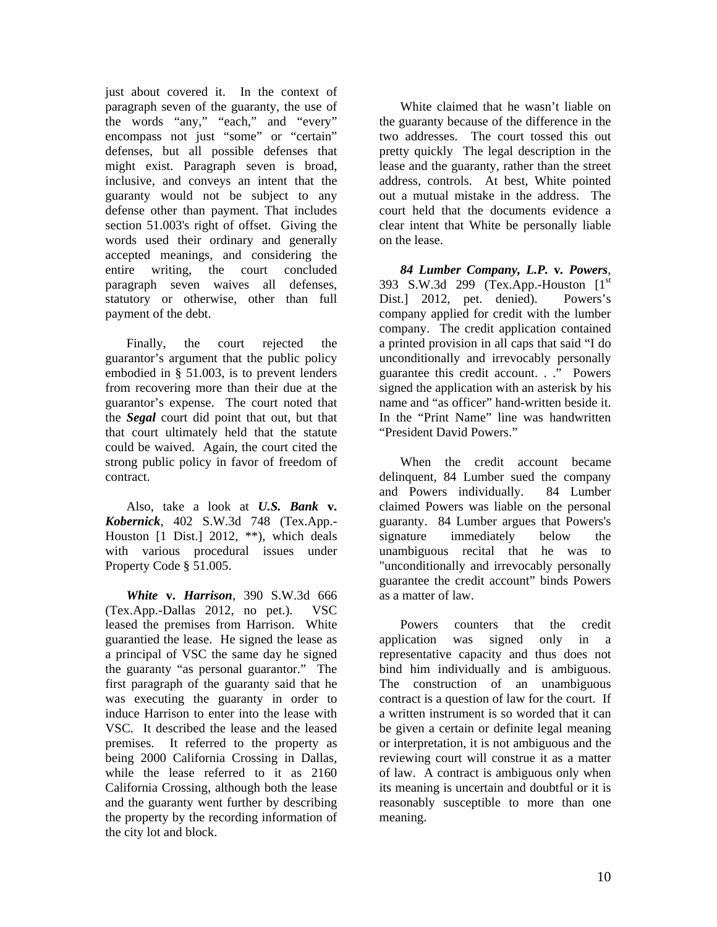just about covered it. In the context of paragraph seven of the guaranty, the use of the words "any," "each," and "every" encompass not just "some" or "certain" defenses, but all possible defenses that might exist. Paragraph seven is broad, inclusive, and conveys an intent that the guaranty would not be subject to any defense other than payment. That includes section 51.003's right of offset. Giving the words used their ordinary and generally accepted meanings, and considering the entire writing, the court concluded paragraph seven waives all defenses, statutory or otherwise, other than full payment of the debt.

Finally, the court rejected the guarantor's argument that the public policy embodied in § 51.003, is to prevent lenders from recovering more than their due at the guarantor's expense. The court noted that the *Segal* court did point that out, but that that court ultimately held that the statute could be waived. Again, the court cited the strong public policy in favor of freedom of contract.

Also, take a look at *U.S. Bank* **v.** *Kobernick*, 402 S.W.3d 748 (Tex.App.- Houston [1 Dist.] 2012, \*\*), which deals with various procedural issues under Property Code § 51.005.

*White* **v.** *Harrison*, 390 S.W.3d 666 (Tex.App.-Dallas 2012, no pet.). VSC leased the premises from Harrison. White guarantied the lease. He signed the lease as a principal of VSC the same day he signed the guaranty "as personal guarantor." The first paragraph of the guaranty said that he was executing the guaranty in order to induce Harrison to enter into the lease with VSC. It described the lease and the leased premises. It referred to the property as being 2000 California Crossing in Dallas, while the lease referred to it as 2160 California Crossing, although both the lease and the guaranty went further by describing the property by the recording information of the city lot and block.

White claimed that he wasn't liable on the guaranty because of the difference in the two addresses. The court tossed this out pretty quickly The legal description in the lease and the guaranty, rather than the street address, controls. At best, White pointed out a mutual mistake in the address. The court held that the documents evidence a clear intent that White be personally liable on the lease.

*84 Lumber Company, L.P.* **v***. Powers*, 393 S.W.3d 299 (Tex.App.-Houston  $[1<sup>st</sup>]$ Dist.] 2012, pet. denied). Powers's company applied for credit with the lumber company. The credit application contained a printed provision in all caps that said "I do unconditionally and irrevocably personally guarantee this credit account. . ." Powers signed the application with an asterisk by his name and "as officer" hand-written beside it. In the "Print Name" line was handwritten "President David Powers."

When the credit account became delinquent, 84 Lumber sued the company and Powers individually. 84 Lumber claimed Powers was liable on the personal guaranty. 84 Lumber argues that Powers's signature immediately below the unambiguous recital that he was to "unconditionally and irrevocably personally guarantee the credit account" binds Powers as a matter of law.

Powers counters that the credit application was signed only in a representative capacity and thus does not bind him individually and is ambiguous. The construction of an unambiguous contract is a question of law for the court. If a written instrument is so worded that it can be given a certain or definite legal meaning or interpretation, it is not ambiguous and the reviewing court will construe it as a matter of law. A contract is ambiguous only when its meaning is uncertain and doubtful or it is reasonably susceptible to more than one meaning.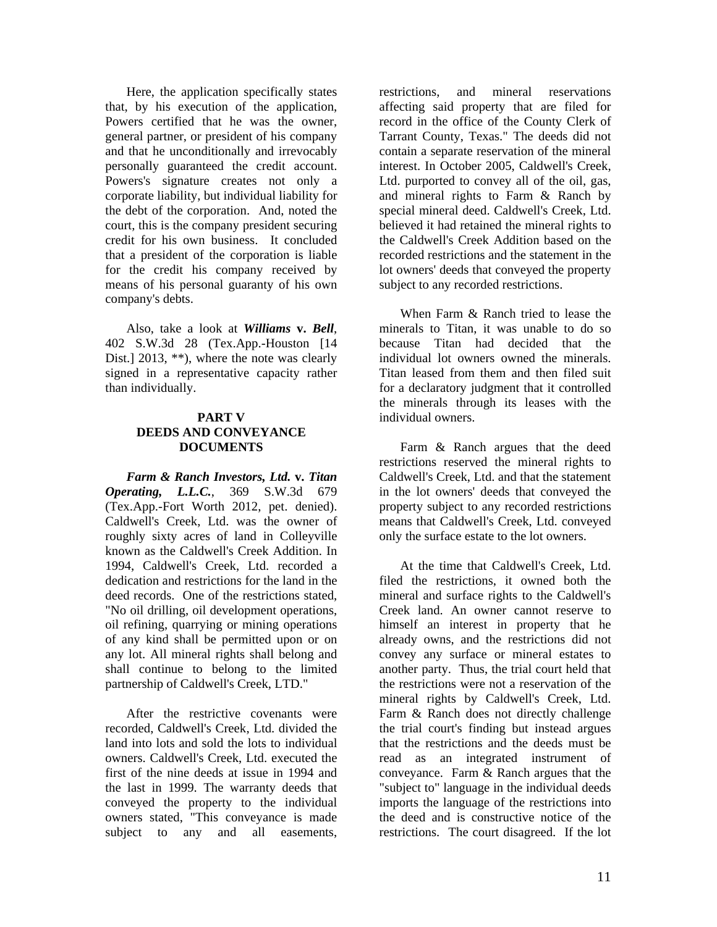Here, the application specifically states that, by his execution of the application, Powers certified that he was the owner, general partner, or president of his company and that he unconditionally and irrevocably personally guaranteed the credit account. Powers's signature creates not only a corporate liability, but individual liability for the debt of the corporation. And, noted the court, this is the company president securing credit for his own business. It concluded that a president of the corporation is liable for the credit his company received by means of his personal guaranty of his own company's debts.

Also, take a look at *Williams* **v.** *Bell*, 402 S.W.3d 28 (Tex.App.-Houston [14 Dist.] 2013, \*\*), where the note was clearly signed in a representative capacity rather than individually.

#### **PART V DEEDS AND CONVEYANCE DOCUMENTS**

*Farm & Ranch Investors, Ltd.* **v.** *Titan Operating, L.L.C.*, 369 S.W.3d 679 (Tex.App.-Fort Worth 2012, pet. denied). Caldwell's Creek, Ltd. was the owner of roughly sixty acres of land in Colleyville known as the Caldwell's Creek Addition. In 1994, Caldwell's Creek, Ltd. recorded a dedication and restrictions for the land in the deed records. One of the restrictions stated, "No oil drilling, oil development operations, oil refining, quarrying or mining operations of any kind shall be permitted upon or on any lot. All mineral rights shall belong and shall continue to belong to the limited partnership of Caldwell's Creek, LTD."

After the restrictive covenants were recorded, Caldwell's Creek, Ltd. divided the land into lots and sold the lots to individual owners. Caldwell's Creek, Ltd. executed the first of the nine deeds at issue in 1994 and the last in 1999. The warranty deeds that conveyed the property to the individual owners stated, "This conveyance is made subject to any and all easements,

restrictions, and mineral reservations affecting said property that are filed for record in the office of the County Clerk of Tarrant County, Texas." The deeds did not contain a separate reservation of the mineral interest. In October 2005, Caldwell's Creek, Ltd. purported to convey all of the oil, gas, and mineral rights to Farm & Ranch by special mineral deed. Caldwell's Creek, Ltd. believed it had retained the mineral rights to the Caldwell's Creek Addition based on the recorded restrictions and the statement in the lot owners' deeds that conveyed the property subject to any recorded restrictions.

When Farm & Ranch tried to lease the minerals to Titan, it was unable to do so because Titan had decided that the individual lot owners owned the minerals. Titan leased from them and then filed suit for a declaratory judgment that it controlled the minerals through its leases with the individual owners.

Farm & Ranch argues that the deed restrictions reserved the mineral rights to Caldwell's Creek, Ltd. and that the statement in the lot owners' deeds that conveyed the property subject to any recorded restrictions means that Caldwell's Creek, Ltd. conveyed only the surface estate to the lot owners.

At the time that Caldwell's Creek, Ltd. filed the restrictions, it owned both the mineral and surface rights to the Caldwell's Creek land. An owner cannot reserve to himself an interest in property that he already owns, and the restrictions did not convey any surface or mineral estates to another party. Thus, the trial court held that the restrictions were not a reservation of the mineral rights by Caldwell's Creek, Ltd. Farm & Ranch does not directly challenge the trial court's finding but instead argues that the restrictions and the deeds must be read as an integrated instrument of conveyance. Farm & Ranch argues that the "subject to" language in the individual deeds imports the language of the restrictions into the deed and is constructive notice of the restrictions. The court disagreed. If the lot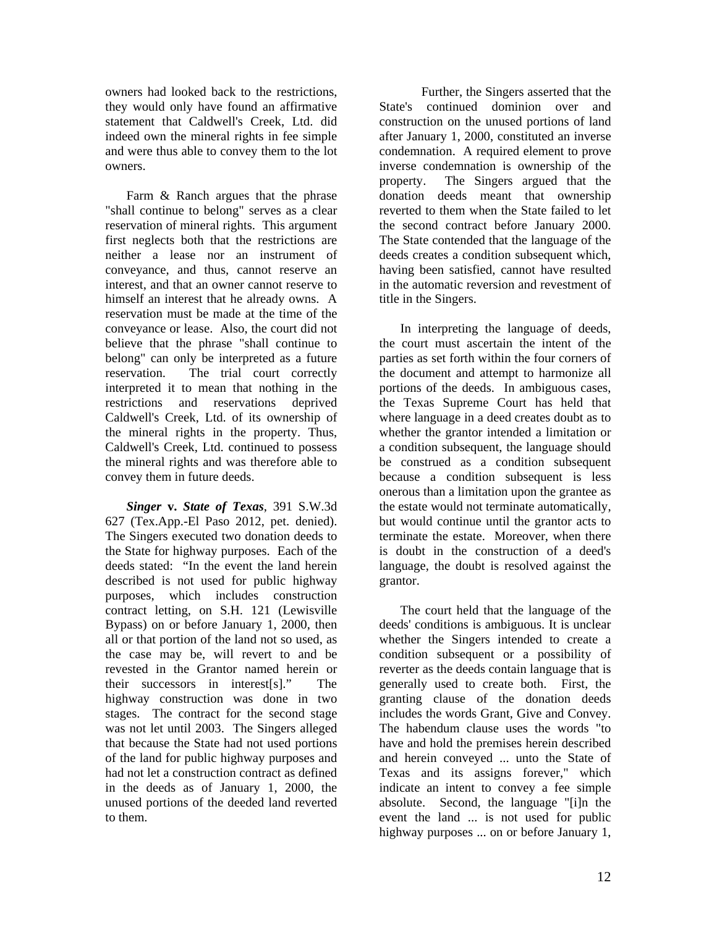owners had looked back to the restrictions, they would only have found an affirmative statement that Caldwell's Creek, Ltd. did indeed own the mineral rights in fee simple and were thus able to convey them to the lot owners.

Farm & Ranch argues that the phrase "shall continue to belong" serves as a clear reservation of mineral rights. This argument first neglects both that the restrictions are neither a lease nor an instrument of conveyance, and thus, cannot reserve an interest, and that an owner cannot reserve to himself an interest that he already owns. A reservation must be made at the time of the conveyance or lease. Also, the court did not believe that the phrase "shall continue to belong" can only be interpreted as a future reservation. The trial court correctly interpreted it to mean that nothing in the restrictions and reservations deprived Caldwell's Creek, Ltd. of its ownership of the mineral rights in the property. Thus, Caldwell's Creek, Ltd. continued to possess the mineral rights and was therefore able to convey them in future deeds.

*Singer* **v.** *State of Texas*, 391 S.W.3d 627 (Tex.App.-El Paso 2012, pet. denied). The Singers executed two donation deeds to the State for highway purposes. Each of the deeds stated: "In the event the land herein described is not used for public highway purposes, which includes construction contract letting, on S.H. 121 (Lewisville Bypass) on or before January 1, 2000, then all or that portion of the land not so used, as the case may be, will revert to and be revested in the Grantor named herein or their successors in interest[s]." The highway construction was done in two stages. The contract for the second stage was not let until 2003. The Singers alleged that because the State had not used portions of the land for public highway purposes and had not let a construction contract as defined in the deeds as of January 1, 2000, the unused portions of the deeded land reverted to them.

 Further, the Singers asserted that the State's continued dominion over and construction on the unused portions of land after January 1, 2000, constituted an inverse condemnation. A required element to prove inverse condemnation is ownership of the property. The Singers argued that the donation deeds meant that ownership reverted to them when the State failed to let the second contract before January 2000. The State contended that the language of the deeds creates a condition subsequent which, having been satisfied, cannot have resulted in the automatic reversion and revestment of title in the Singers.

In interpreting the language of deeds, the court must ascertain the intent of the parties as set forth within the four corners of the document and attempt to harmonize all portions of the deeds. In ambiguous cases, the Texas Supreme Court has held that where language in a deed creates doubt as to whether the grantor intended a limitation or a condition subsequent, the language should be construed as a condition subsequent because a condition subsequent is less onerous than a limitation upon the grantee as the estate would not terminate automatically, but would continue until the grantor acts to terminate the estate. Moreover, when there is doubt in the construction of a deed's language, the doubt is resolved against the grantor.

The court held that the language of the deeds' conditions is ambiguous. It is unclear whether the Singers intended to create a condition subsequent or a possibility of reverter as the deeds contain language that is generally used to create both. First, the granting clause of the donation deeds includes the words Grant, Give and Convey. The habendum clause uses the words "to have and hold the premises herein described and herein conveyed ... unto the State of Texas and its assigns forever," which indicate an intent to convey a fee simple absolute. Second, the language "[i]n the event the land ... is not used for public highway purposes ... on or before January 1,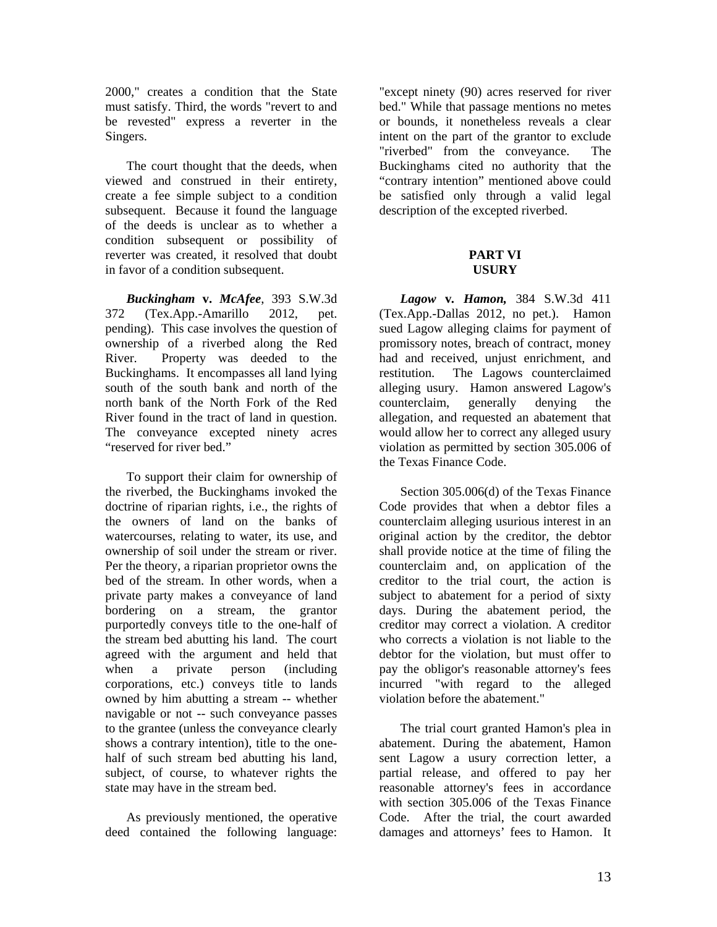2000," creates a condition that the State must satisfy. Third, the words "revert to and be revested" express a reverter in the Singers.

The court thought that the deeds, when viewed and construed in their entirety, create a fee simple subject to a condition subsequent. Because it found the language of the deeds is unclear as to whether a condition subsequent or possibility of reverter was created, it resolved that doubt in favor of a condition subsequent.

*Buckingham* **v.** *McAfee*, 393 S.W.3d 372 (Tex.App.-Amarillo 2012, pet. pending). This case involves the question of ownership of a riverbed along the Red River. Property was deeded to the Buckinghams. It encompasses all land lying south of the south bank and north of the north bank of the North Fork of the Red River found in the tract of land in question. The conveyance excepted ninety acres "reserved for river bed."

To support their claim for ownership of the riverbed, the Buckinghams invoked the doctrine of riparian rights, i.e., the rights of the owners of land on the banks of watercourses, relating to water, its use, and ownership of soil under the stream or river. Per the theory, a riparian proprietor owns the bed of the stream. In other words, when a private party makes a conveyance of land bordering on a stream, the grantor purportedly conveys title to the one-half of the stream bed abutting his land. The court agreed with the argument and held that when a private person (including corporations, etc.) conveys title to lands owned by him abutting a stream -- whether navigable or not -- such conveyance passes to the grantee (unless the conveyance clearly shows a contrary intention), title to the onehalf of such stream bed abutting his land, subject, of course, to whatever rights the state may have in the stream bed.

As previously mentioned, the operative deed contained the following language:

"except ninety (90) acres reserved for river bed." While that passage mentions no metes or bounds, it nonetheless reveals a clear intent on the part of the grantor to exclude "riverbed" from the conveyance. The Buckinghams cited no authority that the "contrary intention" mentioned above could be satisfied only through a valid legal description of the excepted riverbed.

#### **PART VI USURY**

*Lagow* **v***. Hamon,* 384 S.W.3d 411 (Tex.App.-Dallas 2012, no pet.). Hamon sued Lagow alleging claims for payment of promissory notes, breach of contract, money had and received, unjust enrichment, and restitution. The Lagows counterclaimed alleging usury. Hamon answered Lagow's counterclaim, generally denying the allegation, and requested an abatement that would allow her to correct any alleged usury violation as permitted by section 305.006 of the Texas Finance Code.

Section 305.006(d) of the Texas Finance Code provides that when a debtor files a counterclaim alleging usurious interest in an original action by the creditor, the debtor shall provide notice at the time of filing the counterclaim and, on application of the creditor to the trial court, the action is subject to abatement for a period of sixty days. During the abatement period, the creditor may correct a violation. A creditor who corrects a violation is not liable to the debtor for the violation, but must offer to pay the obligor's reasonable attorney's fees incurred "with regard to the alleged violation before the abatement."

The trial court granted Hamon's plea in abatement. During the abatement, Hamon sent Lagow a usury correction letter, a partial release, and offered to pay her reasonable attorney's fees in accordance with section 305.006 of the Texas Finance Code. After the trial, the court awarded damages and attorneys' fees to Hamon. It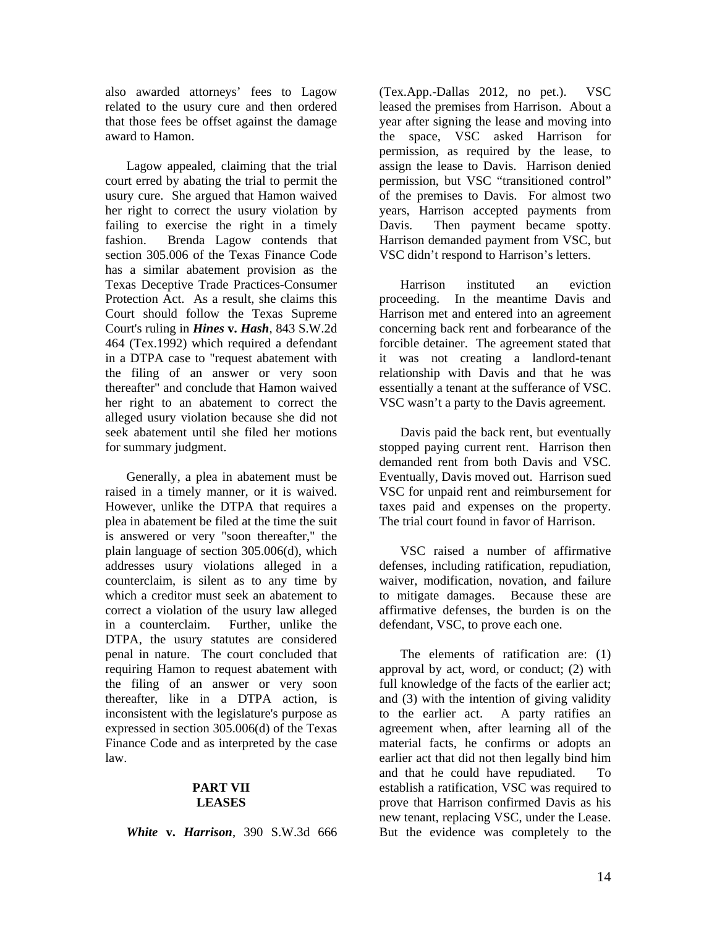also awarded attorneys' fees to Lagow related to the usury cure and then ordered that those fees be offset against the damage award to Hamon.

Lagow appealed, claiming that the trial court erred by abating the trial to permit the usury cure. She argued that Hamon waived her right to correct the usury violation by failing to exercise the right in a timely fashion. Brenda Lagow contends that section 305.006 of the Texas Finance Code has a similar abatement provision as the Texas Deceptive Trade Practices-Consumer Protection Act. As a result, she claims this Court should follow the Texas Supreme Court's ruling in *Hines* **v.** *Hash*, 843 S.W.2d 464 (Tex.1992) which required a defendant in a DTPA case to "request abatement with the filing of an answer or very soon thereafter" and conclude that Hamon waived her right to an abatement to correct the alleged usury violation because she did not seek abatement until she filed her motions for summary judgment.

Generally, a plea in abatement must be raised in a timely manner, or it is waived. However, unlike the DTPA that requires a plea in abatement be filed at the time the suit is answered or very "soon thereafter," the plain language of section 305.006(d), which addresses usury violations alleged in a counterclaim, is silent as to any time by which a creditor must seek an abatement to correct a violation of the usury law alleged in a counterclaim. Further, unlike the DTPA, the usury statutes are considered penal in nature. The court concluded that requiring Hamon to request abatement with the filing of an answer or very soon thereafter, like in a DTPA action, is inconsistent with the legislature's purpose as expressed in section 305.006(d) of the Texas Finance Code and as interpreted by the case law.

#### **PART VII LEASES**

*White* **v.** *Harrison*, 390 S.W.3d 666

(Tex.App.-Dallas 2012, no pet.). VSC leased the premises from Harrison. About a year after signing the lease and moving into the space, VSC asked Harrison for permission, as required by the lease, to assign the lease to Davis. Harrison denied permission, but VSC "transitioned control" of the premises to Davis. For almost two years, Harrison accepted payments from Davis. Then payment became spotty. Harrison demanded payment from VSC, but VSC didn't respond to Harrison's letters.

Harrison instituted an eviction proceeding. In the meantime Davis and Harrison met and entered into an agreement concerning back rent and forbearance of the forcible detainer. The agreement stated that it was not creating a landlord-tenant relationship with Davis and that he was essentially a tenant at the sufferance of VSC. VSC wasn't a party to the Davis agreement.

Davis paid the back rent, but eventually stopped paying current rent. Harrison then demanded rent from both Davis and VSC. Eventually, Davis moved out. Harrison sued VSC for unpaid rent and reimbursement for taxes paid and expenses on the property. The trial court found in favor of Harrison.

VSC raised a number of affirmative defenses, including ratification, repudiation, waiver, modification, novation, and failure to mitigate damages. Because these are affirmative defenses, the burden is on the defendant, VSC, to prove each one.

The elements of ratification are: (1) approval by act, word, or conduct; (2) with full knowledge of the facts of the earlier act; and (3) with the intention of giving validity to the earlier act. A party ratifies an agreement when, after learning all of the material facts, he confirms or adopts an earlier act that did not then legally bind him and that he could have repudiated. To establish a ratification, VSC was required to prove that Harrison confirmed Davis as his new tenant, replacing VSC, under the Lease. But the evidence was completely to the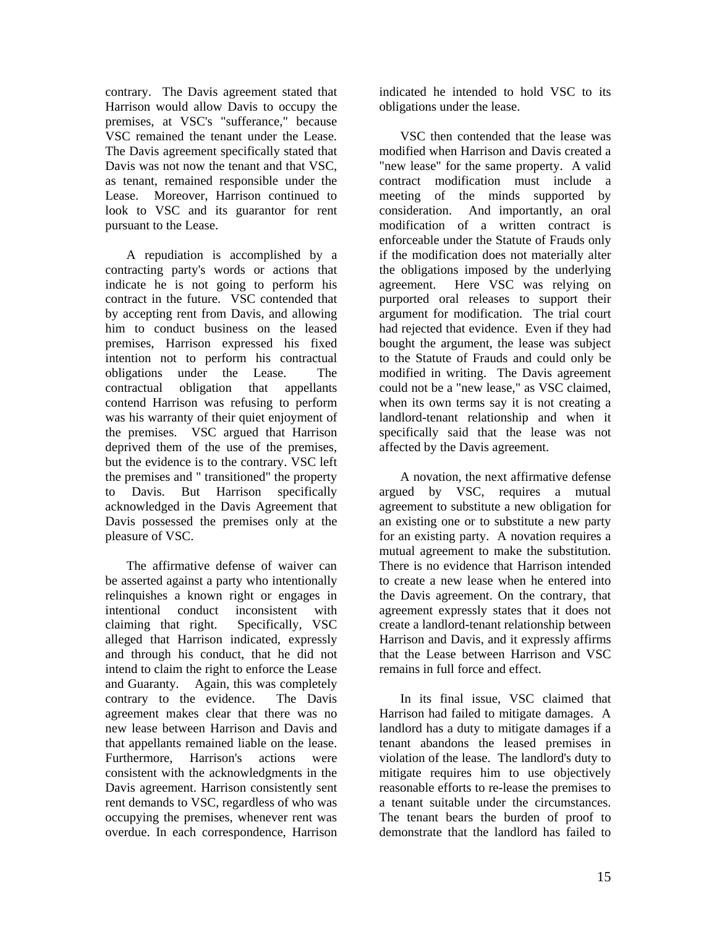contrary. The Davis agreement stated that Harrison would allow Davis to occupy the premises, at VSC's "sufferance," because VSC remained the tenant under the Lease. The Davis agreement specifically stated that Davis was not now the tenant and that VSC, as tenant, remained responsible under the Lease. Moreover, Harrison continued to look to VSC and its guarantor for rent pursuant to the Lease.

A repudiation is accomplished by a contracting party's words or actions that indicate he is not going to perform his contract in the future. VSC contended that by accepting rent from Davis, and allowing him to conduct business on the leased premises, Harrison expressed his fixed intention not to perform his contractual obligations under the Lease. The contractual obligation that appellants contend Harrison was refusing to perform was his warranty of their quiet enjoyment of the premises. VSC argued that Harrison deprived them of the use of the premises, but the evidence is to the contrary. VSC left the premises and " transitioned" the property to Davis. But Harrison specifically acknowledged in the Davis Agreement that Davis possessed the premises only at the pleasure of VSC.

The affirmative defense of waiver can be asserted against a party who intentionally relinquishes a known right or engages in intentional conduct inconsistent with claiming that right. Specifically, VSC alleged that Harrison indicated, expressly and through his conduct, that he did not intend to claim the right to enforce the Lease and Guaranty. Again, this was completely contrary to the evidence. The Davis agreement makes clear that there was no new lease between Harrison and Davis and that appellants remained liable on the lease. Furthermore, Harrison's actions were consistent with the acknowledgments in the Davis agreement. Harrison consistently sent rent demands to VSC, regardless of who was occupying the premises, whenever rent was overdue. In each correspondence, Harrison

indicated he intended to hold VSC to its obligations under the lease.

VSC then contended that the lease was modified when Harrison and Davis created a "new lease" for the same property. A valid contract modification must include a meeting of the minds supported by consideration. And importantly, an oral modification of a written contract is enforceable under the Statute of Frauds only if the modification does not materially alter the obligations imposed by the underlying agreement. Here VSC was relying on purported oral releases to support their argument for modification. The trial court had rejected that evidence. Even if they had bought the argument, the lease was subject to the Statute of Frauds and could only be modified in writing. The Davis agreement could not be a "new lease," as VSC claimed, when its own terms say it is not creating a landlord-tenant relationship and when it specifically said that the lease was not affected by the Davis agreement.

A novation, the next affirmative defense argued by VSC, requires a mutual agreement to substitute a new obligation for an existing one or to substitute a new party for an existing party. A novation requires a mutual agreement to make the substitution. There is no evidence that Harrison intended to create a new lease when he entered into the Davis agreement. On the contrary, that agreement expressly states that it does not create a landlord-tenant relationship between Harrison and Davis, and it expressly affirms that the Lease between Harrison and VSC remains in full force and effect.

In its final issue, VSC claimed that Harrison had failed to mitigate damages. A landlord has a duty to mitigate damages if a tenant abandons the leased premises in violation of the lease. The landlord's duty to mitigate requires him to use objectively reasonable efforts to re-lease the premises to a tenant suitable under the circumstances. The tenant bears the burden of proof to demonstrate that the landlord has failed to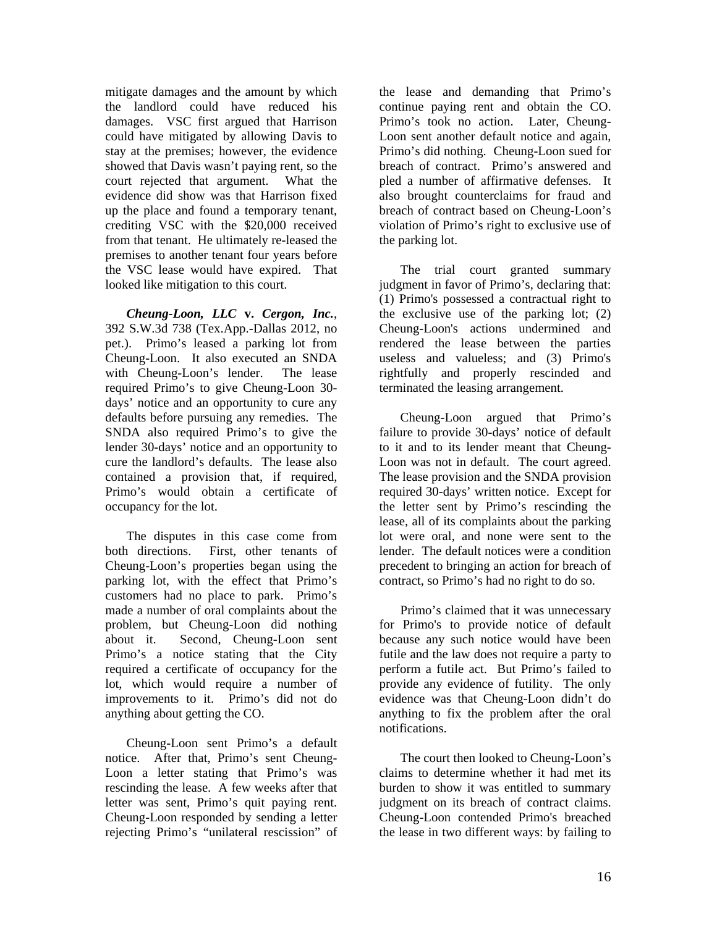mitigate damages and the amount by which the landlord could have reduced his damages. VSC first argued that Harrison could have mitigated by allowing Davis to stay at the premises; however, the evidence showed that Davis wasn't paying rent, so the court rejected that argument. What the evidence did show was that Harrison fixed up the place and found a temporary tenant, crediting VSC with the \$20,000 received from that tenant. He ultimately re-leased the premises to another tenant four years before the VSC lease would have expired. That looked like mitigation to this court.

*Cheung-Loon, LLC* **v.** *Cergon, Inc.*, 392 S.W.3d 738 (Tex.App.-Dallas 2012, no pet.). Primo's leased a parking lot from Cheung-Loon. It also executed an SNDA with Cheung-Loon's lender. The lease required Primo's to give Cheung-Loon 30 days' notice and an opportunity to cure any defaults before pursuing any remedies. The SNDA also required Primo's to give the lender 30-days' notice and an opportunity to cure the landlord's defaults. The lease also contained a provision that, if required, Primo's would obtain a certificate of occupancy for the lot.

The disputes in this case come from both directions. First, other tenants of Cheung-Loon's properties began using the parking lot, with the effect that Primo's customers had no place to park. Primo's made a number of oral complaints about the problem, but Cheung-Loon did nothing about it. Second, Cheung-Loon sent Primo's a notice stating that the City required a certificate of occupancy for the lot, which would require a number of improvements to it. Primo's did not do anything about getting the CO.

Cheung-Loon sent Primo's a default notice. After that, Primo's sent Cheung-Loon a letter stating that Primo's was rescinding the lease. A few weeks after that letter was sent, Primo's quit paying rent. Cheung-Loon responded by sending a letter rejecting Primo's "unilateral rescission" of the lease and demanding that Primo's continue paying rent and obtain the CO. Primo's took no action. Later, Cheung-Loon sent another default notice and again, Primo's did nothing. Cheung-Loon sued for breach of contract. Primo's answered and pled a number of affirmative defenses. It also brought counterclaims for fraud and breach of contract based on Cheung-Loon's violation of Primo's right to exclusive use of the parking lot.

The trial court granted summary judgment in favor of Primo's, declaring that: (1) Primo's possessed a contractual right to the exclusive use of the parking lot; (2) Cheung-Loon's actions undermined and rendered the lease between the parties useless and valueless; and (3) Primo's rightfully and properly rescinded and terminated the leasing arrangement.

Cheung-Loon argued that Primo's failure to provide 30-days' notice of default to it and to its lender meant that Cheung-Loon was not in default. The court agreed. The lease provision and the SNDA provision required 30-days' written notice. Except for the letter sent by Primo's rescinding the lease, all of its complaints about the parking lot were oral, and none were sent to the lender. The default notices were a condition precedent to bringing an action for breach of contract, so Primo's had no right to do so.

Primo's claimed that it was unnecessary for Primo's to provide notice of default because any such notice would have been futile and the law does not require a party to perform a futile act. But Primo's failed to provide any evidence of futility. The only evidence was that Cheung-Loon didn't do anything to fix the problem after the oral notifications.

The court then looked to Cheung-Loon's claims to determine whether it had met its burden to show it was entitled to summary judgment on its breach of contract claims. Cheung-Loon contended Primo's breached the lease in two different ways: by failing to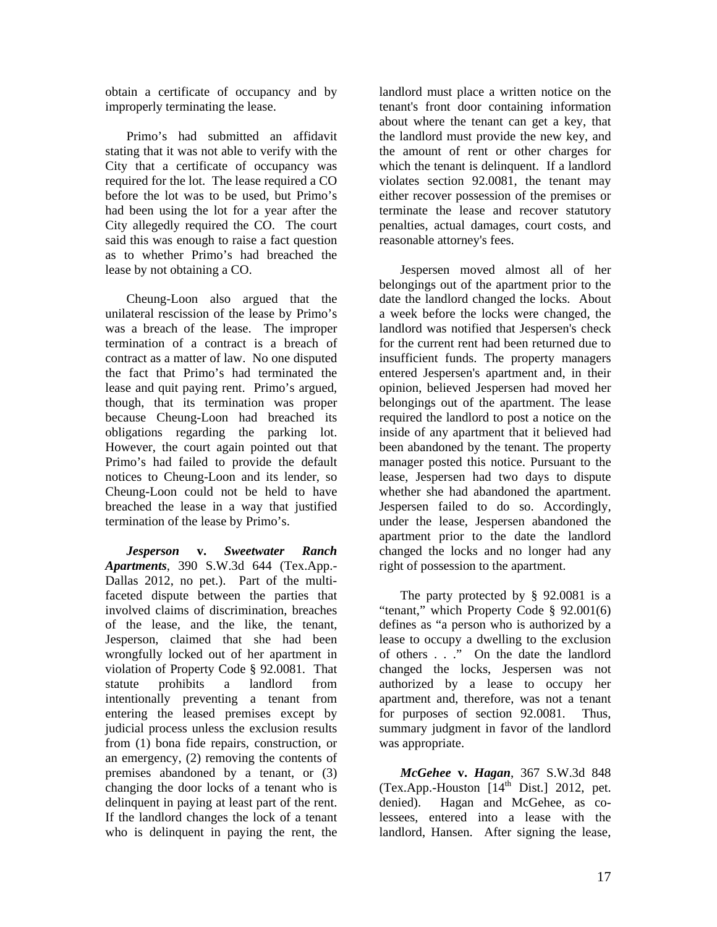obtain a certificate of occupancy and by improperly terminating the lease.

Primo's had submitted an affidavit stating that it was not able to verify with the City that a certificate of occupancy was required for the lot. The lease required a CO before the lot was to be used, but Primo's had been using the lot for a year after the City allegedly required the CO. The court said this was enough to raise a fact question as to whether Primo's had breached the lease by not obtaining a CO.

Cheung-Loon also argued that the unilateral rescission of the lease by Primo's was a breach of the lease. The improper termination of a contract is a breach of contract as a matter of law. No one disputed the fact that Primo's had terminated the lease and quit paying rent. Primo's argued, though, that its termination was proper because Cheung-Loon had breached its obligations regarding the parking lot. However, the court again pointed out that Primo's had failed to provide the default notices to Cheung-Loon and its lender, so Cheung-Loon could not be held to have breached the lease in a way that justified termination of the lease by Primo's.

*Jesperson* **v.** *Sweetwater Ranch Apartments*, 390 S.W.3d 644 (Tex.App.- Dallas 2012, no pet.). Part of the multifaceted dispute between the parties that involved claims of discrimination, breaches of the lease, and the like, the tenant, Jesperson, claimed that she had been wrongfully locked out of her apartment in violation of Property Code § 92.0081. That statute prohibits a landlord from intentionally preventing a tenant from entering the leased premises except by judicial process unless the exclusion results from (1) bona fide repairs, construction, or an emergency, (2) removing the contents of premises abandoned by a tenant, or (3) changing the door locks of a tenant who is delinquent in paying at least part of the rent. If the landlord changes the lock of a tenant who is delinquent in paying the rent, the

landlord must place a written notice on the tenant's front door containing information about where the tenant can get a key, that the landlord must provide the new key, and the amount of rent or other charges for which the tenant is delinquent. If a landlord violates section 92.0081, the tenant may either recover possession of the premises or terminate the lease and recover statutory penalties, actual damages, court costs, and reasonable attorney's fees.

Jespersen moved almost all of her belongings out of the apartment prior to the date the landlord changed the locks. About a week before the locks were changed, the landlord was notified that Jespersen's check for the current rent had been returned due to insufficient funds. The property managers entered Jespersen's apartment and, in their opinion, believed Jespersen had moved her belongings out of the apartment. The lease required the landlord to post a notice on the inside of any apartment that it believed had been abandoned by the tenant. The property manager posted this notice. Pursuant to the lease, Jespersen had two days to dispute whether she had abandoned the apartment. Jespersen failed to do so. Accordingly, under the lease, Jespersen abandoned the apartment prior to the date the landlord changed the locks and no longer had any right of possession to the apartment.

The party protected by § 92.0081 is a "tenant," which Property Code § 92.001(6) defines as "a person who is authorized by a lease to occupy a dwelling to the exclusion of others . . ." On the date the landlord changed the locks, Jespersen was not authorized by a lease to occupy her apartment and, therefore, was not a tenant for purposes of section 92.0081. Thus, summary judgment in favor of the landlord was appropriate.

*McGehee* **v.** *Hagan*, 367 S.W.3d 848  $(Tex. App.-Houston [14<sup>th</sup> Dist.] 2012, pet.$ denied). Hagan and McGehee, as colessees, entered into a lease with the landlord, Hansen. After signing the lease,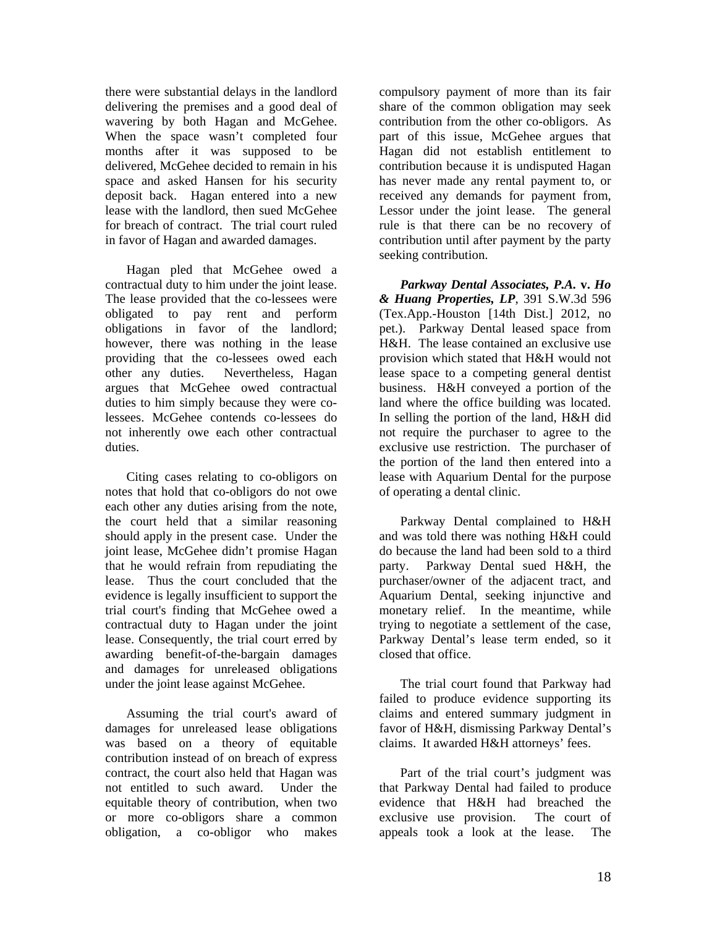there were substantial delays in the landlord delivering the premises and a good deal of wavering by both Hagan and McGehee. When the space wasn't completed four months after it was supposed to be delivered, McGehee decided to remain in his space and asked Hansen for his security deposit back. Hagan entered into a new lease with the landlord, then sued McGehee for breach of contract. The trial court ruled in favor of Hagan and awarded damages.

Hagan pled that McGehee owed a contractual duty to him under the joint lease. The lease provided that the co-lessees were obligated to pay rent and perform obligations in favor of the landlord; however, there was nothing in the lease providing that the co-lessees owed each other any duties. Nevertheless, Hagan argues that McGehee owed contractual duties to him simply because they were colessees. McGehee contends co-lessees do not inherently owe each other contractual duties.

Citing cases relating to co-obligors on notes that hold that co-obligors do not owe each other any duties arising from the note, the court held that a similar reasoning should apply in the present case. Under the joint lease, McGehee didn't promise Hagan that he would refrain from repudiating the lease. Thus the court concluded that the evidence is legally insufficient to support the trial court's finding that McGehee owed a contractual duty to Hagan under the joint lease. Consequently, the trial court erred by awarding benefit-of-the-bargain damages and damages for unreleased obligations under the joint lease against McGehee.

Assuming the trial court's award of damages for unreleased lease obligations was based on a theory of equitable contribution instead of on breach of express contract, the court also held that Hagan was not entitled to such award. Under the equitable theory of contribution, when two or more co-obligors share a common obligation, a co-obligor who makes

compulsory payment of more than its fair share of the common obligation may seek contribution from the other co-obligors. As part of this issue, McGehee argues that Hagan did not establish entitlement to contribution because it is undisputed Hagan has never made any rental payment to, or received any demands for payment from, Lessor under the joint lease. The general rule is that there can be no recovery of contribution until after payment by the party seeking contribution.

*Parkway Dental Associates, P.A.* **v.** *Ho & Huang Properties, LP*, 391 S.W.3d 596 (Tex.App.-Houston [14th Dist.] 2012, no pet.). Parkway Dental leased space from H&H. The lease contained an exclusive use provision which stated that H&H would not lease space to a competing general dentist business. H&H conveyed a portion of the land where the office building was located. In selling the portion of the land, H&H did not require the purchaser to agree to the exclusive use restriction. The purchaser of the portion of the land then entered into a lease with Aquarium Dental for the purpose of operating a dental clinic.

Parkway Dental complained to H&H and was told there was nothing H&H could do because the land had been sold to a third party. Parkway Dental sued H&H, the purchaser/owner of the adjacent tract, and Aquarium Dental, seeking injunctive and monetary relief. In the meantime, while trying to negotiate a settlement of the case, Parkway Dental's lease term ended, so it closed that office.

The trial court found that Parkway had failed to produce evidence supporting its claims and entered summary judgment in favor of H&H, dismissing Parkway Dental's claims. It awarded H&H attorneys' fees.

Part of the trial court's judgment was that Parkway Dental had failed to produce evidence that H&H had breached the exclusive use provision. The court of appeals took a look at the lease. The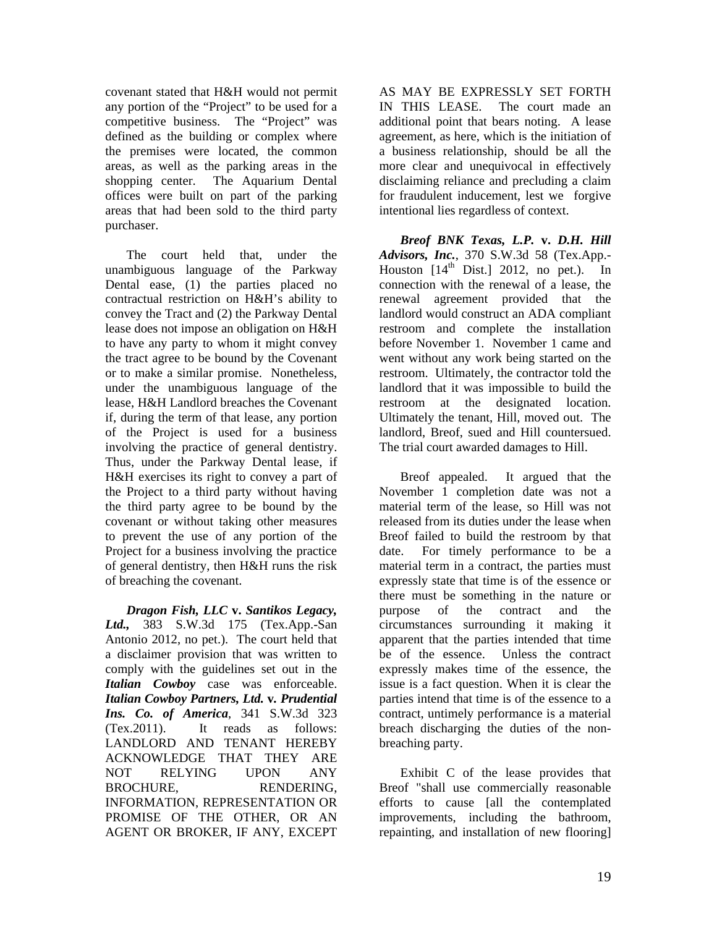covenant stated that H&H would not permit any portion of the "Project" to be used for a competitive business. The "Project" was defined as the building or complex where the premises were located, the common areas, as well as the parking areas in the shopping center. The Aquarium Dental offices were built on part of the parking areas that had been sold to the third party purchaser.

The court held that, under the unambiguous language of the Parkway Dental ease, (1) the parties placed no contractual restriction on H&H's ability to convey the Tract and (2) the Parkway Dental lease does not impose an obligation on H&H to have any party to whom it might convey the tract agree to be bound by the Covenant or to make a similar promise. Nonetheless, under the unambiguous language of the lease, H&H Landlord breaches the Covenant if, during the term of that lease, any portion of the Project is used for a business involving the practice of general dentistry. Thus, under the Parkway Dental lease, if H&H exercises its right to convey a part of the Project to a third party without having the third party agree to be bound by the covenant or without taking other measures to prevent the use of any portion of the Project for a business involving the practice of general dentistry, then H&H runs the risk of breaching the covenant.

*Dragon Fish, LLC* **v.** *Santikos Legacy, Ltd.,* 383 S.W.3d 175 (Tex.App.-San Antonio 2012, no pet.). The court held that a disclaimer provision that was written to comply with the guidelines set out in the *Italian Cowboy* case was enforceable. *Italian Cowboy Partners, Ltd.* **v***. Prudential Ins. Co. of America*, 341 S.W.3d 323 (Tex.2011). It reads as follows: LANDLORD AND TENANT HEREBY ACKNOWLEDGE THAT THEY ARE NOT RELYING UPON ANY BROCHURE. RENDERING. INFORMATION, REPRESENTATION OR PROMISE OF THE OTHER, OR AN AGENT OR BROKER, IF ANY, EXCEPT

AS MAY BE EXPRESSLY SET FORTH IN THIS LEASE. The court made an additional point that bears noting. A lease agreement, as here, which is the initiation of a business relationship, should be all the more clear and unequivocal in effectively disclaiming reliance and precluding a claim for fraudulent inducement, lest we forgive intentional lies regardless of context.

*Breof BNK Texas, L.P.* **v.** *D.H. Hill Advisors, Inc.*, 370 S.W.3d 58 (Tex.App.- Houston  $[14<sup>th</sup> Dist.]$  2012, no pet.). In connection with the renewal of a lease, the renewal agreement provided that the landlord would construct an ADA compliant restroom and complete the installation before November 1. November 1 came and went without any work being started on the restroom. Ultimately, the contractor told the landlord that it was impossible to build the restroom at the designated location. Ultimately the tenant, Hill, moved out. The landlord, Breof, sued and Hill countersued. The trial court awarded damages to Hill.

Breof appealed. It argued that the November 1 completion date was not a material term of the lease, so Hill was not released from its duties under the lease when Breof failed to build the restroom by that date. For timely performance to be a material term in a contract, the parties must expressly state that time is of the essence or there must be something in the nature or purpose of the contract and the circumstances surrounding it making it apparent that the parties intended that time be of the essence. Unless the contract expressly makes time of the essence, the issue is a fact question. When it is clear the parties intend that time is of the essence to a contract, untimely performance is a material breach discharging the duties of the nonbreaching party.

Exhibit C of the lease provides that Breof "shall use commercially reasonable efforts to cause [all the contemplated improvements, including the bathroom, repainting, and installation of new flooring]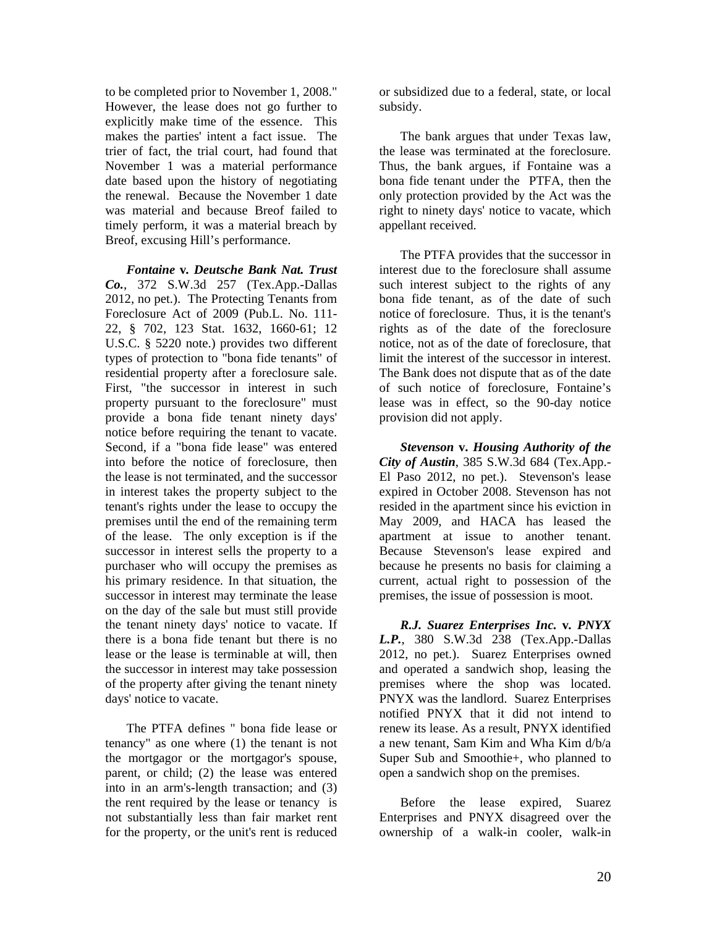to be completed prior to November 1, 2008." However, the lease does not go further to explicitly make time of the essence. This makes the parties' intent a fact issue. The trier of fact, the trial court, had found that November 1 was a material performance date based upon the history of negotiating the renewal. Because the November 1 date was material and because Breof failed to timely perform, it was a material breach by Breof, excusing Hill's performance.

*Fontaine* **v***. Deutsche Bank Nat. Trust Co.*, 372 S.W.3d 257 (Tex.App.-Dallas 2012, no pet.). The Protecting Tenants from Foreclosure Act of 2009 (Pub.L. No. 111- 22, § 702, 123 Stat. 1632, 1660-61; 12 U.S.C. § 5220 note.) provides two different types of protection to "bona fide tenants" of residential property after a foreclosure sale. First, "the successor in interest in such property pursuant to the foreclosure" must provide a bona fide tenant ninety days' notice before requiring the tenant to vacate. Second, if a "bona fide lease" was entered into before the notice of foreclosure, then the lease is not terminated, and the successor in interest takes the property subject to the tenant's rights under the lease to occupy the premises until the end of the remaining term of the lease. The only exception is if the successor in interest sells the property to a purchaser who will occupy the premises as his primary residence. In that situation, the successor in interest may terminate the lease on the day of the sale but must still provide the tenant ninety days' notice to vacate. If there is a bona fide tenant but there is no lease or the lease is terminable at will, then the successor in interest may take possession of the property after giving the tenant ninety days' notice to vacate.

The PTFA defines " bona fide lease or tenancy" as one where (1) the tenant is not the mortgagor or the mortgagor's spouse, parent, or child; (2) the lease was entered into in an arm's-length transaction; and (3) the rent required by the lease or tenancy is not substantially less than fair market rent for the property, or the unit's rent is reduced or subsidized due to a federal, state, or local subsidy.

The bank argues that under Texas law, the lease was terminated at the foreclosure. Thus, the bank argues, if Fontaine was a bona fide tenant under the PTFA, then the only protection provided by the Act was the right to ninety days' notice to vacate, which appellant received.

The PTFA provides that the successor in interest due to the foreclosure shall assume such interest subject to the rights of any bona fide tenant, as of the date of such notice of foreclosure. Thus, it is the tenant's rights as of the date of the foreclosure notice, not as of the date of foreclosure, that limit the interest of the successor in interest. The Bank does not dispute that as of the date of such notice of foreclosure, Fontaine's lease was in effect, so the 90-day notice provision did not apply.

*Stevenson* **v.** *Housing Authority of the City of Austin*, 385 S.W.3d 684 (Tex.App.- El Paso 2012, no pet.). Stevenson's lease expired in October 2008. Stevenson has not resided in the apartment since his eviction in May 2009, and HACA has leased the apartment at issue to another tenant. Because Stevenson's lease expired and because he presents no basis for claiming a current, actual right to possession of the premises, the issue of possession is moot.

*R.J. Suarez Enterprises Inc.* **v***. PNYX L.P.*, 380 S.W.3d 238 (Tex.App.-Dallas 2012, no pet.). Suarez Enterprises owned and operated a sandwich shop, leasing the premises where the shop was located. PNYX was the landlord. Suarez Enterprises notified PNYX that it did not intend to renew its lease. As a result, PNYX identified a new tenant, Sam Kim and Wha Kim d/b/a Super Sub and Smoothie+, who planned to open a sandwich shop on the premises.

Before the lease expired, Suarez Enterprises and PNYX disagreed over the ownership of a walk-in cooler, walk-in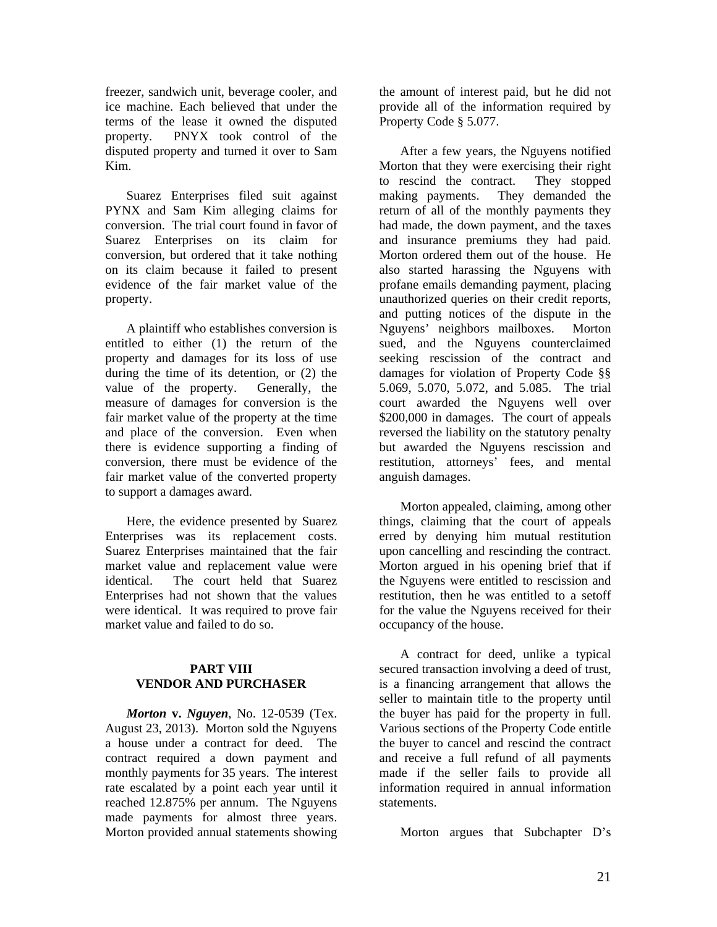freezer, sandwich unit, beverage cooler, and ice machine. Each believed that under the terms of the lease it owned the disputed property. PNYX took control of the disputed property and turned it over to Sam Kim.

Suarez Enterprises filed suit against PYNX and Sam Kim alleging claims for conversion. The trial court found in favor of Suarez Enterprises on its claim for conversion, but ordered that it take nothing on its claim because it failed to present evidence of the fair market value of the property.

A plaintiff who establishes conversion is entitled to either (1) the return of the property and damages for its loss of use during the time of its detention, or (2) the value of the property. Generally, the measure of damages for conversion is the fair market value of the property at the time and place of the conversion. Even when there is evidence supporting a finding of conversion, there must be evidence of the fair market value of the converted property to support a damages award.

Here, the evidence presented by Suarez Enterprises was its replacement costs. Suarez Enterprises maintained that the fair market value and replacement value were identical. The court held that Suarez Enterprises had not shown that the values were identical. It was required to prove fair market value and failed to do so.

#### **PART VIII VENDOR AND PURCHASER**

*Morton* **v.** *Nguyen*, No. 12-0539 (Tex. August 23, 2013). Morton sold the Nguyens a house under a contract for deed. The contract required a down payment and monthly payments for 35 years. The interest rate escalated by a point each year until it reached 12.875% per annum. The Nguyens made payments for almost three years. Morton provided annual statements showing

the amount of interest paid, but he did not provide all of the information required by Property Code § 5.077.

After a few years, the Nguyens notified Morton that they were exercising their right to rescind the contract. They stopped making payments. They demanded the return of all of the monthly payments they had made, the down payment, and the taxes and insurance premiums they had paid. Morton ordered them out of the house. He also started harassing the Nguyens with profane emails demanding payment, placing unauthorized queries on their credit reports, and putting notices of the dispute in the Nguyens' neighbors mailboxes. Morton sued, and the Nguyens counterclaimed seeking rescission of the contract and damages for violation of Property Code §§ 5.069, 5.070, 5.072, and 5.085. The trial court awarded the Nguyens well over \$200,000 in damages. The court of appeals reversed the liability on the statutory penalty but awarded the Nguyens rescission and restitution, attorneys' fees, and mental anguish damages.

Morton appealed, claiming, among other things, claiming that the court of appeals erred by denying him mutual restitution upon cancelling and rescinding the contract. Morton argued in his opening brief that if the Nguyens were entitled to rescission and restitution, then he was entitled to a setoff for the value the Nguyens received for their occupancy of the house.

A contract for deed, unlike a typical secured transaction involving a deed of trust, is a financing arrangement that allows the seller to maintain title to the property until the buyer has paid for the property in full. Various sections of the Property Code entitle the buyer to cancel and rescind the contract and receive a full refund of all payments made if the seller fails to provide all information required in annual information statements.

Morton argues that Subchapter D's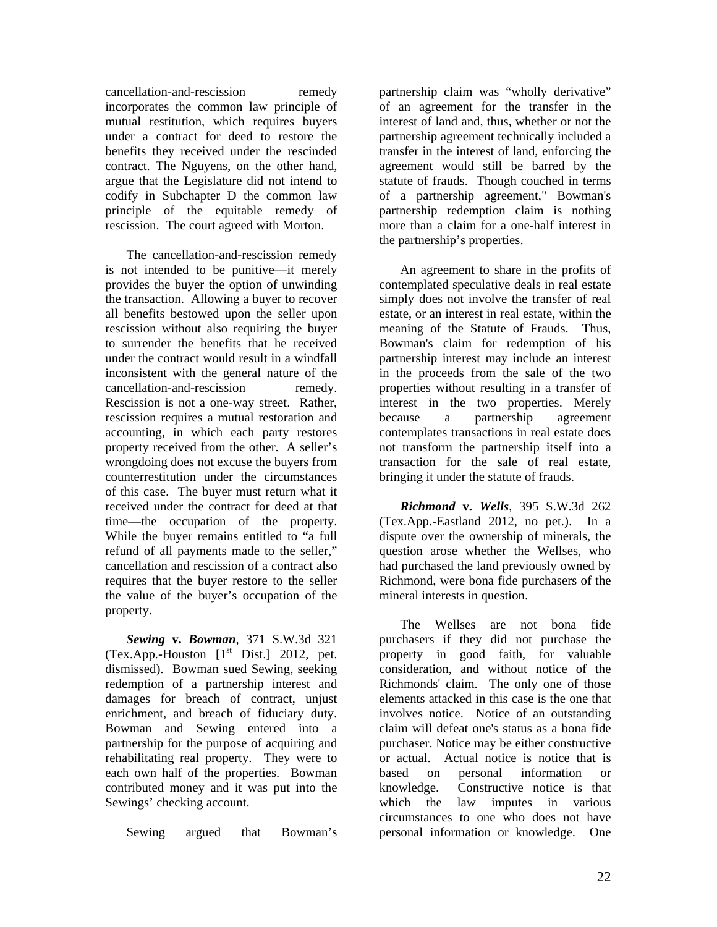cancellation-and-rescission remedy incorporates the common law principle of mutual restitution, which requires buyers under a contract for deed to restore the benefits they received under the rescinded contract. The Nguyens, on the other hand, argue that the Legislature did not intend to codify in Subchapter D the common law principle of the equitable remedy of rescission. The court agreed with Morton.

The cancellation-and-rescission remedy is not intended to be punitive—it merely provides the buyer the option of unwinding the transaction. Allowing a buyer to recover all benefits bestowed upon the seller upon rescission without also requiring the buyer to surrender the benefits that he received under the contract would result in a windfall inconsistent with the general nature of the cancellation-and-rescission remedy. Rescission is not a one-way street. Rather, rescission requires a mutual restoration and accounting, in which each party restores property received from the other. A seller's wrongdoing does not excuse the buyers from counterrestitution under the circumstances of this case. The buyer must return what it received under the contract for deed at that time—the occupation of the property. While the buyer remains entitled to "a full refund of all payments made to the seller," cancellation and rescission of a contract also requires that the buyer restore to the seller the value of the buyer's occupation of the property.

*Sewing* **v.** *Bowman*, 371 S.W.3d 321 (Tex.App.-Houston  $[1<sup>st</sup> Dist.]$  2012, pet. dismissed). Bowman sued Sewing, seeking redemption of a partnership interest and damages for breach of contract, unjust enrichment, and breach of fiduciary duty. Bowman and Sewing entered into a partnership for the purpose of acquiring and rehabilitating real property. They were to each own half of the properties. Bowman contributed money and it was put into the Sewings' checking account.

Sewing argued that Bowman's

partnership claim was "wholly derivative" of an agreement for the transfer in the interest of land and, thus, whether or not the partnership agreement technically included a transfer in the interest of land, enforcing the agreement would still be barred by the statute of frauds. Though couched in terms of a partnership agreement," Bowman's partnership redemption claim is nothing more than a claim for a one-half interest in the partnership's properties.

An agreement to share in the profits of contemplated speculative deals in real estate simply does not involve the transfer of real estate, or an interest in real estate, within the meaning of the Statute of Frauds. Thus, Bowman's claim for redemption of his partnership interest may include an interest in the proceeds from the sale of the two properties without resulting in a transfer of interest in the two properties. Merely because a partnership agreement contemplates transactions in real estate does not transform the partnership itself into a transaction for the sale of real estate, bringing it under the statute of frauds.

*Richmond* **v.** *Wells*, 395 S.W.3d 262 (Tex.App.-Eastland 2012, no pet.). In a dispute over the ownership of minerals, the question arose whether the Wellses, who had purchased the land previously owned by Richmond, were bona fide purchasers of the mineral interests in question.

The Wellses are not bona fide purchasers if they did not purchase the property in good faith, for valuable consideration, and without notice of the Richmonds' claim. The only one of those elements attacked in this case is the one that involves notice. Notice of an outstanding claim will defeat one's status as a bona fide purchaser. Notice may be either constructive or actual. Actual notice is notice that is based on personal information or knowledge. Constructive notice is that which the law imputes in various circumstances to one who does not have personal information or knowledge. One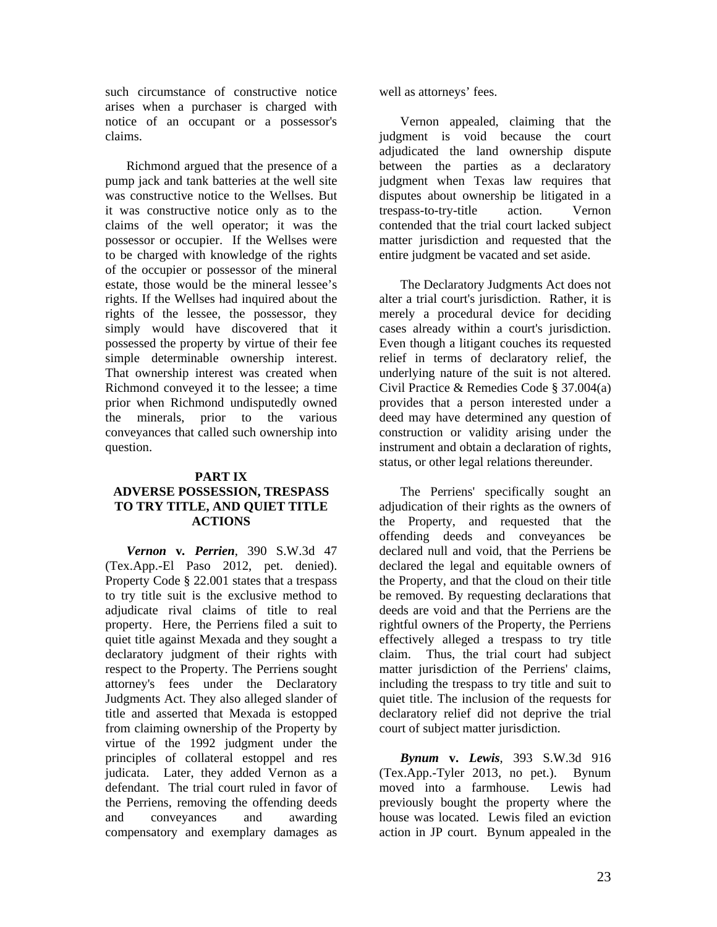such circumstance of constructive notice arises when a purchaser is charged with notice of an occupant or a possessor's claims.

Richmond argued that the presence of a pump jack and tank batteries at the well site was constructive notice to the Wellses. But it was constructive notice only as to the claims of the well operator; it was the possessor or occupier. If the Wellses were to be charged with knowledge of the rights of the occupier or possessor of the mineral estate, those would be the mineral lessee's rights. If the Wellses had inquired about the rights of the lessee, the possessor, they simply would have discovered that it possessed the property by virtue of their fee simple determinable ownership interest. That ownership interest was created when Richmond conveyed it to the lessee; a time prior when Richmond undisputedly owned the minerals, prior to the various conveyances that called such ownership into question.

#### **PART IX ADVERSE POSSESSION, TRESPASS TO TRY TITLE, AND QUIET TITLE ACTIONS**

*Vernon* **v***. Perrien*, 390 S.W.3d 47 (Tex.App.-El Paso 2012, pet. denied). Property Code § 22.001 states that a trespass to try title suit is the exclusive method to adjudicate rival claims of title to real property. Here, the Perriens filed a suit to quiet title against Mexada and they sought a declaratory judgment of their rights with respect to the Property. The Perriens sought attorney's fees under the Declaratory Judgments Act. They also alleged slander of title and asserted that Mexada is estopped from claiming ownership of the Property by virtue of the 1992 judgment under the principles of collateral estoppel and res judicata. Later, they added Vernon as a defendant. The trial court ruled in favor of the Perriens, removing the offending deeds and conveyances and awarding compensatory and exemplary damages as

well as attorneys' fees.

Vernon appealed, claiming that the judgment is void because the court adjudicated the land ownership dispute between the parties as a declaratory judgment when Texas law requires that disputes about ownership be litigated in a trespass-to-try-title action. Vernon contended that the trial court lacked subject matter jurisdiction and requested that the entire judgment be vacated and set aside.

The Declaratory Judgments Act does not alter a trial court's jurisdiction. Rather, it is merely a procedural device for deciding cases already within a court's jurisdiction. Even though a litigant couches its requested relief in terms of declaratory relief, the underlying nature of the suit is not altered. Civil Practice & Remedies Code § 37.004(a) provides that a person interested under a deed may have determined any question of construction or validity arising under the instrument and obtain a declaration of rights, status, or other legal relations thereunder.

The Perriens' specifically sought an adjudication of their rights as the owners of the Property, and requested that the offending deeds and conveyances be declared null and void, that the Perriens be declared the legal and equitable owners of the Property, and that the cloud on their title be removed. By requesting declarations that deeds are void and that the Perriens are the rightful owners of the Property, the Perriens effectively alleged a trespass to try title claim. Thus, the trial court had subject matter jurisdiction of the Perriens' claims, including the trespass to try title and suit to quiet title. The inclusion of the requests for declaratory relief did not deprive the trial court of subject matter jurisdiction.

*Bynum* **v.** *Lewis*, 393 S.W.3d 916 (Tex.App.-Tyler 2013, no pet.). Bynum moved into a farmhouse. Lewis had previously bought the property where the house was located. Lewis filed an eviction action in JP court. Bynum appealed in the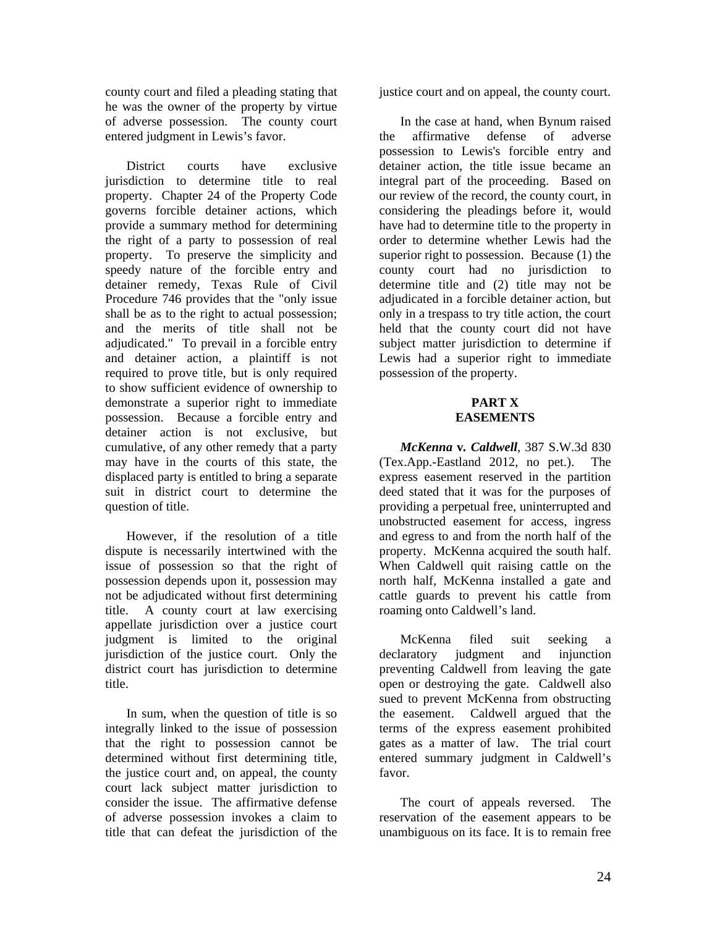county court and filed a pleading stating that he was the owner of the property by virtue of adverse possession. The county court entered judgment in Lewis's favor.

District courts have exclusive jurisdiction to determine title to real property. Chapter 24 of the Property Code governs forcible detainer actions, which provide a summary method for determining the right of a party to possession of real property. To preserve the simplicity and speedy nature of the forcible entry and detainer remedy, Texas Rule of Civil Procedure 746 provides that the "only issue shall be as to the right to actual possession; and the merits of title shall not be adjudicated." To prevail in a forcible entry and detainer action, a plaintiff is not required to prove title, but is only required to show sufficient evidence of ownership to demonstrate a superior right to immediate possession. Because a forcible entry and detainer action is not exclusive, but cumulative, of any other remedy that a party may have in the courts of this state, the displaced party is entitled to bring a separate suit in district court to determine the question of title.

However, if the resolution of a title dispute is necessarily intertwined with the issue of possession so that the right of possession depends upon it, possession may not be adjudicated without first determining title. A county court at law exercising appellate jurisdiction over a justice court judgment is limited to the original jurisdiction of the justice court. Only the district court has jurisdiction to determine title.

In sum, when the question of title is so integrally linked to the issue of possession that the right to possession cannot be determined without first determining title, the justice court and, on appeal, the county court lack subject matter jurisdiction to consider the issue. The affirmative defense of adverse possession invokes a claim to title that can defeat the jurisdiction of the

justice court and on appeal, the county court.

In the case at hand, when Bynum raised the affirmative defense of adverse possession to Lewis's forcible entry and detainer action, the title issue became an integral part of the proceeding. Based on our review of the record, the county court, in considering the pleadings before it, would have had to determine title to the property in order to determine whether Lewis had the superior right to possession. Because (1) the county court had no jurisdiction to determine title and (2) title may not be adjudicated in a forcible detainer action, but only in a trespass to try title action, the court held that the county court did not have subject matter jurisdiction to determine if Lewis had a superior right to immediate possession of the property.

#### **PART X EASEMENTS**

*McKenna* **v***. Caldwell*, 387 S.W.3d 830 (Tex.App.-Eastland 2012, no pet.). The express easement reserved in the partition deed stated that it was for the purposes of providing a perpetual free, uninterrupted and unobstructed easement for access, ingress and egress to and from the north half of the property. McKenna acquired the south half. When Caldwell quit raising cattle on the north half, McKenna installed a gate and cattle guards to prevent his cattle from roaming onto Caldwell's land.

McKenna filed suit seeking a declaratory judgment and injunction preventing Caldwell from leaving the gate open or destroying the gate. Caldwell also sued to prevent McKenna from obstructing the easement. Caldwell argued that the terms of the express easement prohibited gates as a matter of law. The trial court entered summary judgment in Caldwell's favor.

The court of appeals reversed. The reservation of the easement appears to be unambiguous on its face. It is to remain free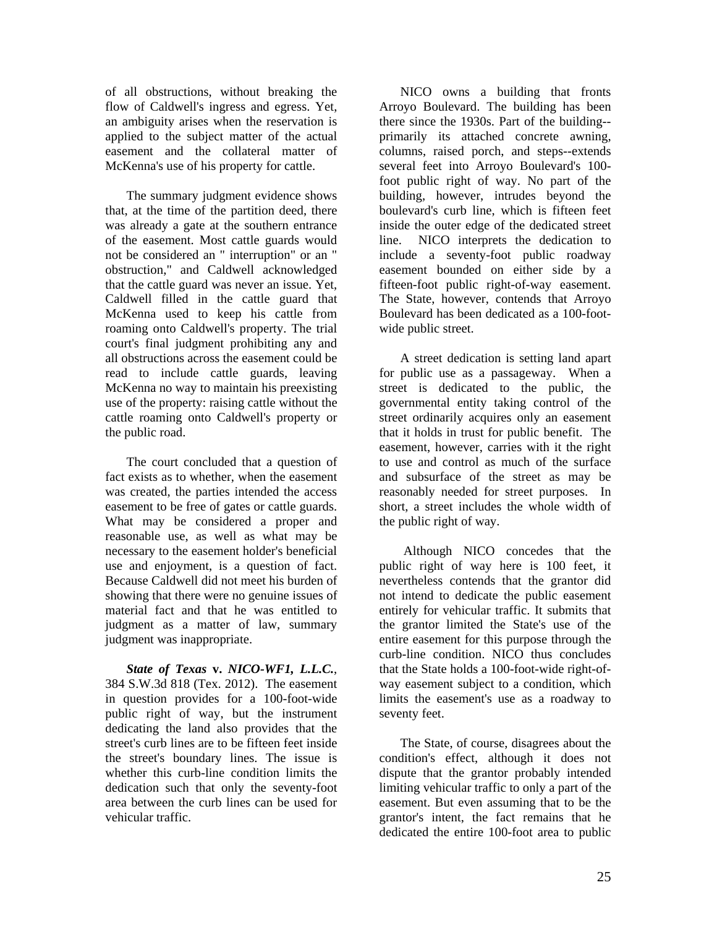of all obstructions, without breaking the flow of Caldwell's ingress and egress. Yet, an ambiguity arises when the reservation is applied to the subject matter of the actual easement and the collateral matter of McKenna's use of his property for cattle.

The summary judgment evidence shows that, at the time of the partition deed, there was already a gate at the southern entrance of the easement. Most cattle guards would not be considered an " interruption" or an " obstruction," and Caldwell acknowledged that the cattle guard was never an issue. Yet, Caldwell filled in the cattle guard that McKenna used to keep his cattle from roaming onto Caldwell's property. The trial court's final judgment prohibiting any and all obstructions across the easement could be read to include cattle guards, leaving McKenna no way to maintain his preexisting use of the property: raising cattle without the cattle roaming onto Caldwell's property or the public road.

The court concluded that a question of fact exists as to whether, when the easement was created, the parties intended the access easement to be free of gates or cattle guards. What may be considered a proper and reasonable use, as well as what may be necessary to the easement holder's beneficial use and enjoyment, is a question of fact. Because Caldwell did not meet his burden of showing that there were no genuine issues of material fact and that he was entitled to judgment as a matter of law, summary judgment was inappropriate.

*State of Texas* **v.** *NICO-WF1, L.L.C.*, 384 S.W.3d 818 (Tex. 2012). The easement in question provides for a 100-foot-wide public right of way, but the instrument dedicating the land also provides that the street's curb lines are to be fifteen feet inside the street's boundary lines. The issue is whether this curb-line condition limits the dedication such that only the seventy-foot area between the curb lines can be used for vehicular traffic.

NICO owns a building that fronts Arroyo Boulevard. The building has been there since the 1930s. Part of the building- primarily its attached concrete awning, columns, raised porch, and steps--extends several feet into Arroyo Boulevard's 100 foot public right of way. No part of the building, however, intrudes beyond the boulevard's curb line, which is fifteen feet inside the outer edge of the dedicated street line. NICO interprets the dedication to include a seventy-foot public roadway easement bounded on either side by a fifteen-foot public right-of-way easement. The State, however, contends that Arroyo Boulevard has been dedicated as a 100-footwide public street.

A street dedication is setting land apart for public use as a passageway. When a street is dedicated to the public, the governmental entity taking control of the street ordinarily acquires only an easement that it holds in trust for public benefit. The easement, however, carries with it the right to use and control as much of the surface and subsurface of the street as may be reasonably needed for street purposes. In short, a street includes the whole width of the public right of way.

 Although NICO concedes that the public right of way here is 100 feet, it nevertheless contends that the grantor did not intend to dedicate the public easement entirely for vehicular traffic. It submits that the grantor limited the State's use of the entire easement for this purpose through the curb-line condition. NICO thus concludes that the State holds a 100-foot-wide right-ofway easement subject to a condition, which limits the easement's use as a roadway to seventy feet.

The State, of course, disagrees about the condition's effect, although it does not dispute that the grantor probably intended limiting vehicular traffic to only a part of the easement. But even assuming that to be the grantor's intent, the fact remains that he dedicated the entire 100-foot area to public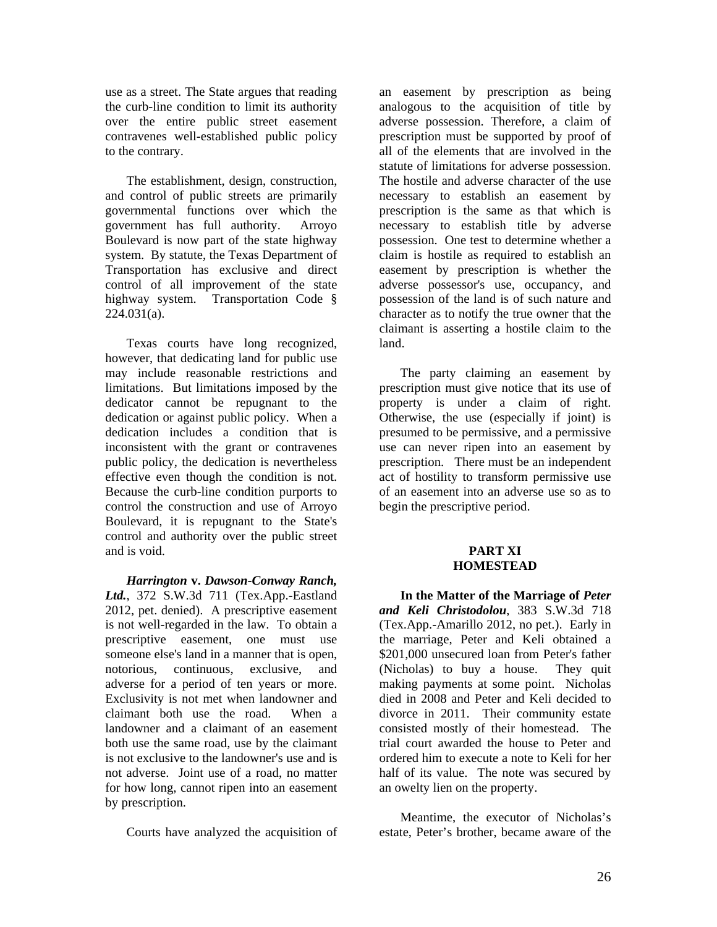use as a street. The State argues that reading the curb-line condition to limit its authority over the entire public street easement contravenes well-established public policy to the contrary.

The establishment, design, construction, and control of public streets are primarily governmental functions over which the government has full authority. Arroyo Boulevard is now part of the state highway system. By statute, the Texas Department of Transportation has exclusive and direct control of all improvement of the state highway system. Transportation Code §  $224.031(a)$ .

Texas courts have long recognized, however, that dedicating land for public use may include reasonable restrictions and limitations. But limitations imposed by the dedicator cannot be repugnant to the dedication or against public policy. When a dedication includes a condition that is inconsistent with the grant or contravenes public policy, the dedication is nevertheless effective even though the condition is not. Because the curb-line condition purports to control the construction and use of Arroyo Boulevard, it is repugnant to the State's control and authority over the public street and is void.

*Harrington* **v.** *Dawson-Conway Ranch, Ltd.*, 372 S.W.3d 711 (Tex.App.-Eastland 2012, pet. denied). A prescriptive easement is not well-regarded in the law. To obtain a prescriptive easement, one must use someone else's land in a manner that is open, notorious, continuous, exclusive, and adverse for a period of ten years or more. Exclusivity is not met when landowner and claimant both use the road. When a landowner and a claimant of an easement both use the same road, use by the claimant is not exclusive to the landowner's use and is not adverse. Joint use of a road, no matter for how long, cannot ripen into an easement by prescription.

Courts have analyzed the acquisition of

an easement by prescription as being analogous to the acquisition of title by adverse possession. Therefore, a claim of prescription must be supported by proof of all of the elements that are involved in the statute of limitations for adverse possession. The hostile and adverse character of the use necessary to establish an easement by prescription is the same as that which is necessary to establish title by adverse possession. One test to determine whether a claim is hostile as required to establish an easement by prescription is whether the adverse possessor's use, occupancy, and possession of the land is of such nature and character as to notify the true owner that the claimant is asserting a hostile claim to the land.

The party claiming an easement by prescription must give notice that its use of property is under a claim of right. Otherwise, the use (especially if joint) is presumed to be permissive, and a permissive use can never ripen into an easement by prescription. There must be an independent act of hostility to transform permissive use of an easement into an adverse use so as to begin the prescriptive period.

#### **PART XI HOMESTEAD**

**In the Matter of the Marriage of** *Peter and Keli Christodolou*, 383 S.W.3d 718 (Tex.App.-Amarillo 2012, no pet.). Early in the marriage, Peter and Keli obtained a \$201,000 unsecured loan from Peter's father (Nicholas) to buy a house. They quit making payments at some point. Nicholas died in 2008 and Peter and Keli decided to divorce in 2011. Their community estate consisted mostly of their homestead. The trial court awarded the house to Peter and ordered him to execute a note to Keli for her half of its value. The note was secured by an owelty lien on the property.

Meantime, the executor of Nicholas's estate, Peter's brother, became aware of the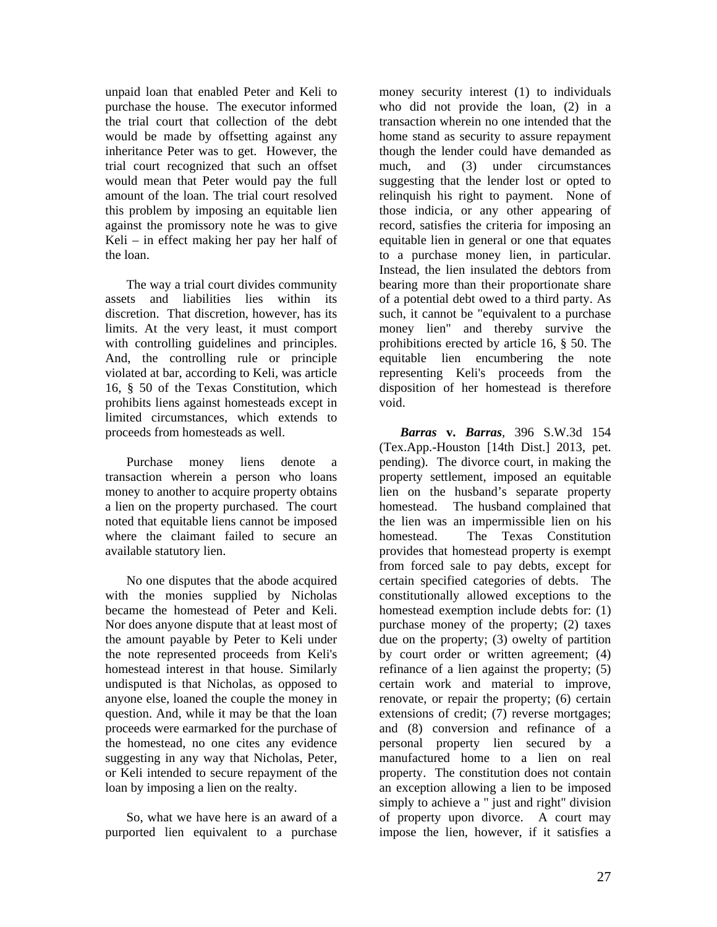unpaid loan that enabled Peter and Keli to purchase the house. The executor informed the trial court that collection of the debt would be made by offsetting against any inheritance Peter was to get. However, the trial court recognized that such an offset would mean that Peter would pay the full amount of the loan. The trial court resolved this problem by imposing an equitable lien against the promissory note he was to give Keli – in effect making her pay her half of the loan.

The way a trial court divides community assets and liabilities lies within its discretion. That discretion, however, has its limits. At the very least, it must comport with controlling guidelines and principles. And, the controlling rule or principle violated at bar, according to Keli, was article 16, § 50 of the Texas Constitution, which prohibits liens against homesteads except in limited circumstances, which extends to proceeds from homesteads as well.

Purchase money liens denote a transaction wherein a person who loans money to another to acquire property obtains a lien on the property purchased. The court noted that equitable liens cannot be imposed where the claimant failed to secure an available statutory lien.

No one disputes that the abode acquired with the monies supplied by Nicholas became the homestead of Peter and Keli. Nor does anyone dispute that at least most of the amount payable by Peter to Keli under the note represented proceeds from Keli's homestead interest in that house. Similarly undisputed is that Nicholas, as opposed to anyone else, loaned the couple the money in question. And, while it may be that the loan proceeds were earmarked for the purchase of the homestead, no one cites any evidence suggesting in any way that Nicholas, Peter, or Keli intended to secure repayment of the loan by imposing a lien on the realty.

So, what we have here is an award of a purported lien equivalent to a purchase

money security interest (1) to individuals who did not provide the loan, (2) in a transaction wherein no one intended that the home stand as security to assure repayment though the lender could have demanded as much, and (3) under circumstances suggesting that the lender lost or opted to relinquish his right to payment. None of those indicia, or any other appearing of record, satisfies the criteria for imposing an equitable lien in general or one that equates to a purchase money lien, in particular. Instead, the lien insulated the debtors from bearing more than their proportionate share of a potential debt owed to a third party. As such, it cannot be "equivalent to a purchase money lien" and thereby survive the prohibitions erected by article 16, § 50. The equitable lien encumbering the note representing Keli's proceeds from the disposition of her homestead is therefore void.

*Barras* **v.** *Barras*, 396 S.W.3d 154 (Tex.App.-Houston [14th Dist.] 2013, pet. pending). The divorce court, in making the property settlement, imposed an equitable lien on the husband's separate property homestead. The husband complained that the lien was an impermissible lien on his homestead. The Texas Constitution provides that homestead property is exempt from forced sale to pay debts, except for certain specified categories of debts. The constitutionally allowed exceptions to the homestead exemption include debts for: (1) purchase money of the property; (2) taxes due on the property; (3) owelty of partition by court order or written agreement; (4) refinance of a lien against the property; (5) certain work and material to improve, renovate, or repair the property; (6) certain extensions of credit; (7) reverse mortgages; and (8) conversion and refinance of a personal property lien secured by a manufactured home to a lien on real property. The constitution does not contain an exception allowing a lien to be imposed simply to achieve a " just and right" division of property upon divorce. A court may impose the lien, however, if it satisfies a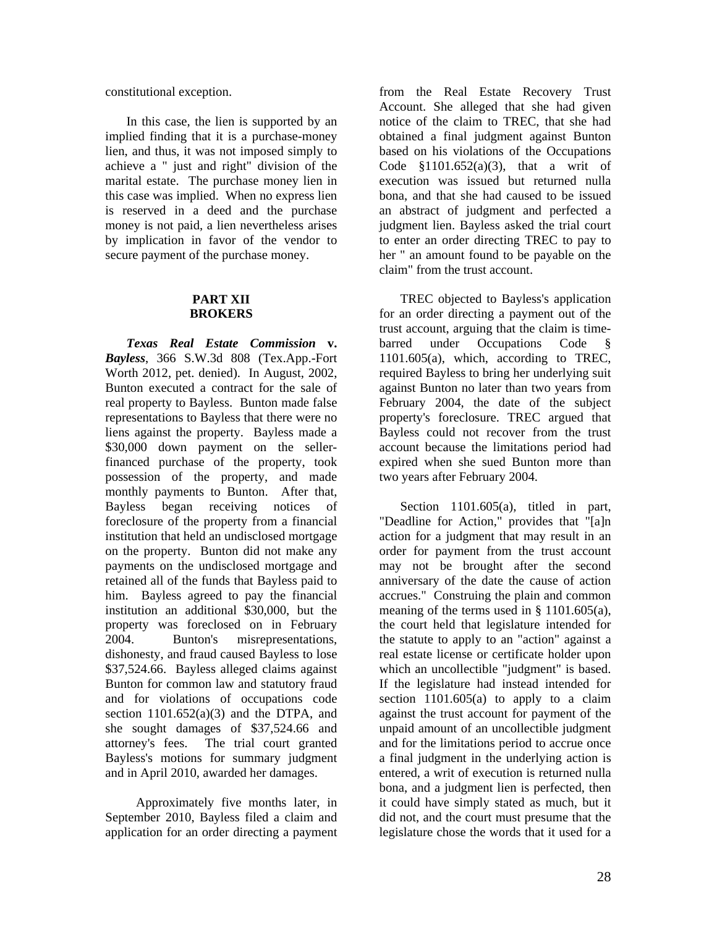constitutional exception.

In this case, the lien is supported by an implied finding that it is a purchase-money lien, and thus, it was not imposed simply to achieve a " just and right" division of the marital estate. The purchase money lien in this case was implied. When no express lien is reserved in a deed and the purchase money is not paid, a lien nevertheless arises by implication in favor of the vendor to secure payment of the purchase money.

#### **PART XII BROKERS**

*Texas Real Estate Commission* **v.**  *Bayless*, 366 S.W.3d 808 (Tex.App.-Fort Worth 2012, pet. denied). In August, 2002, Bunton executed a contract for the sale of real property to Bayless. Bunton made false representations to Bayless that there were no liens against the property. Bayless made a \$30,000 down payment on the sellerfinanced purchase of the property, took possession of the property, and made monthly payments to Bunton. After that, Bayless began receiving notices of foreclosure of the property from a financial institution that held an undisclosed mortgage on the property. Bunton did not make any payments on the undisclosed mortgage and retained all of the funds that Bayless paid to him. Bayless agreed to pay the financial institution an additional \$30,000, but the property was foreclosed on in February 2004. Bunton's misrepresentations, dishonesty, and fraud caused Bayless to lose \$37,524.66. Bayless alleged claims against Bunton for common law and statutory fraud and for violations of occupations code section  $1101.652(a)(3)$  and the DTPA, and she sought damages of \$37,524.66 and attorney's fees. The trial court granted Bayless's motions for summary judgment and in April 2010, awarded her damages.

 Approximately five months later, in September 2010, Bayless filed a claim and application for an order directing a payment

from the Real Estate Recovery Trust Account. She alleged that she had given notice of the claim to TREC, that she had obtained a final judgment against Bunton based on his violations of the Occupations Code  $$1101.652(a)(3)$ , that a writ of execution was issued but returned nulla bona, and that she had caused to be issued an abstract of judgment and perfected a judgment lien. Bayless asked the trial court to enter an order directing TREC to pay to her " an amount found to be payable on the claim" from the trust account.

TREC objected to Bayless's application for an order directing a payment out of the trust account, arguing that the claim is timebarred under Occupations Code § 1101.605(a), which, according to TREC, required Bayless to bring her underlying suit against Bunton no later than two years from February 2004, the date of the subject property's foreclosure. TREC argued that Bayless could not recover from the trust account because the limitations period had expired when she sued Bunton more than two years after February 2004.

Section 1101.605(a), titled in part, "Deadline for Action," provides that "[a]n action for a judgment that may result in an order for payment from the trust account may not be brought after the second anniversary of the date the cause of action accrues." Construing the plain and common meaning of the terms used in § 1101.605(a), the court held that legislature intended for the statute to apply to an "action" against a real estate license or certificate holder upon which an uncollectible "judgment" is based. If the legislature had instead intended for section  $1101.605(a)$  to apply to a claim against the trust account for payment of the unpaid amount of an uncollectible judgment and for the limitations period to accrue once a final judgment in the underlying action is entered, a writ of execution is returned nulla bona, and a judgment lien is perfected, then it could have simply stated as much, but it did not, and the court must presume that the legislature chose the words that it used for a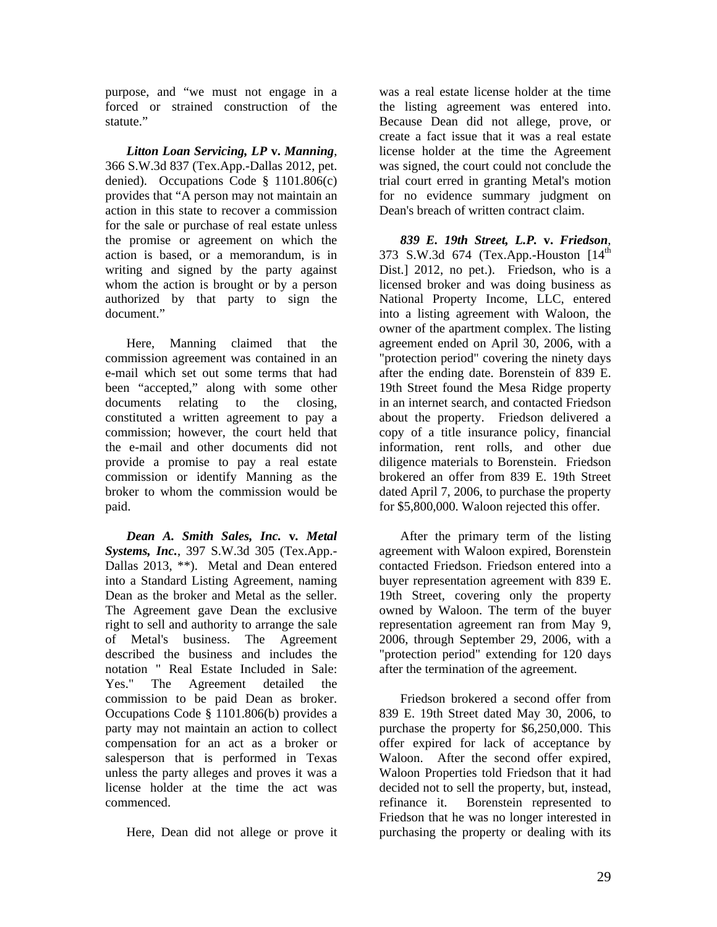purpose, and "we must not engage in a forced or strained construction of the statute."

*Litton Loan Servicing, LP* **v.** *Manning*, 366 S.W.3d 837 (Tex.App.-Dallas 2012, pet. denied). Occupations Code § 1101.806(c) provides that "A person may not maintain an action in this state to recover a commission for the sale or purchase of real estate unless the promise or agreement on which the action is based, or a memorandum, is in writing and signed by the party against whom the action is brought or by a person authorized by that party to sign the document"

Here, Manning claimed that the commission agreement was contained in an e-mail which set out some terms that had been "accepted," along with some other documents relating to the closing, constituted a written agreement to pay a commission; however, the court held that the e-mail and other documents did not provide a promise to pay a real estate commission or identify Manning as the broker to whom the commission would be paid.

*Dean A. Smith Sales, Inc.* **v***. Metal Systems, Inc.*, 397 S.W.3d 305 (Tex.App.- Dallas 2013, \*\*). Metal and Dean entered into a Standard Listing Agreement, naming Dean as the broker and Metal as the seller. The Agreement gave Dean the exclusive right to sell and authority to arrange the sale of Metal's business. The Agreement described the business and includes the notation " Real Estate Included in Sale: Yes." The Agreement detailed the commission to be paid Dean as broker. Occupations Code § 1101.806(b) provides a party may not maintain an action to collect compensation for an act as a broker or salesperson that is performed in Texas unless the party alleges and proves it was a license holder at the time the act was commenced.

Here, Dean did not allege or prove it

was a real estate license holder at the time the listing agreement was entered into. Because Dean did not allege, prove, or create a fact issue that it was a real estate license holder at the time the Agreement was signed, the court could not conclude the trial court erred in granting Metal's motion for no evidence summary judgment on Dean's breach of written contract claim.

*839 E. 19th Street, L.P.* **v.** *Friedson*, 373 S.W.3d 674 (Tex.App.-Houston [14<sup>th</sup> Dist.] 2012, no pet.). Friedson, who is a licensed broker and was doing business as National Property Income, LLC, entered into a listing agreement with Waloon, the owner of the apartment complex. The listing agreement ended on April 30, 2006, with a "protection period" covering the ninety days after the ending date. Borenstein of 839 E. 19th Street found the Mesa Ridge property in an internet search, and contacted Friedson about the property. Friedson delivered a copy of a title insurance policy, financial information, rent rolls, and other due diligence materials to Borenstein. Friedson brokered an offer from 839 E. 19th Street dated April 7, 2006, to purchase the property for \$5,800,000. Waloon rejected this offer.

After the primary term of the listing agreement with Waloon expired, Borenstein contacted Friedson. Friedson entered into a buyer representation agreement with 839 E. 19th Street, covering only the property owned by Waloon. The term of the buyer representation agreement ran from May 9, 2006, through September 29, 2006, with a "protection period" extending for 120 days after the termination of the agreement.

Friedson brokered a second offer from 839 E. 19th Street dated May 30, 2006, to purchase the property for \$6,250,000. This offer expired for lack of acceptance by Waloon. After the second offer expired, Waloon Properties told Friedson that it had decided not to sell the property, but, instead, refinance it. Borenstein represented to Friedson that he was no longer interested in purchasing the property or dealing with its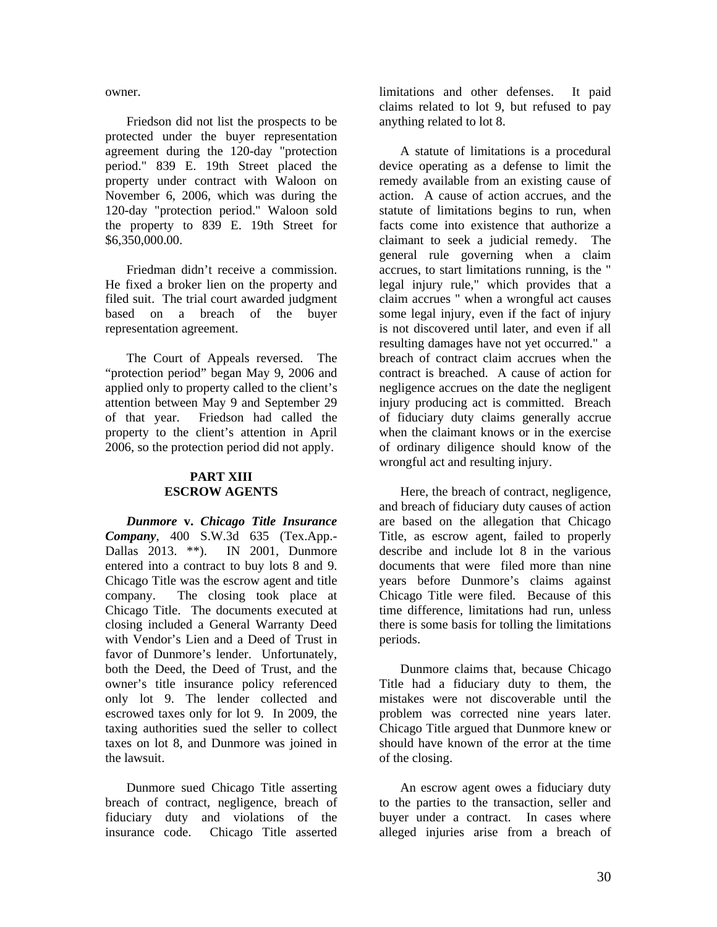owner.

Friedson did not list the prospects to be protected under the buyer representation agreement during the 120-day "protection period." 839 E. 19th Street placed the property under contract with Waloon on November 6, 2006, which was during the 120-day "protection period." Waloon sold the property to 839 E. 19th Street for \$6,350,000.00.

Friedman didn't receive a commission. He fixed a broker lien on the property and filed suit. The trial court awarded judgment based on a breach of the buyer representation agreement.

The Court of Appeals reversed. The "protection period" began May 9, 2006 and applied only to property called to the client's attention between May 9 and September 29 of that year. Friedson had called the property to the client's attention in April 2006, so the protection period did not apply.

#### **PART XIII ESCROW AGENTS**

*Dunmore* **v.** *Chicago Title Insurance Company*, 400 S.W.3d 635 (Tex.App.- Dallas 2013. \*\*). IN 2001, Dunmore entered into a contract to buy lots 8 and 9. Chicago Title was the escrow agent and title company. The closing took place at Chicago Title. The documents executed at closing included a General Warranty Deed with Vendor's Lien and a Deed of Trust in favor of Dunmore's lender. Unfortunately, both the Deed, the Deed of Trust, and the owner's title insurance policy referenced only lot 9. The lender collected and escrowed taxes only for lot 9. In 2009, the taxing authorities sued the seller to collect taxes on lot 8, and Dunmore was joined in the lawsuit.

Dunmore sued Chicago Title asserting breach of contract, negligence, breach of fiduciary duty and violations of the insurance code. Chicago Title asserted

limitations and other defenses. It paid claims related to lot 9, but refused to pay anything related to lot 8.

A statute of limitations is a procedural device operating as a defense to limit the remedy available from an existing cause of action. A cause of action accrues, and the statute of limitations begins to run, when facts come into existence that authorize a claimant to seek a judicial remedy. The general rule governing when a claim accrues, to start limitations running, is the " legal injury rule," which provides that a claim accrues " when a wrongful act causes some legal injury, even if the fact of injury is not discovered until later, and even if all resulting damages have not yet occurred." a breach of contract claim accrues when the contract is breached. A cause of action for negligence accrues on the date the negligent injury producing act is committed. Breach of fiduciary duty claims generally accrue when the claimant knows or in the exercise of ordinary diligence should know of the wrongful act and resulting injury.

Here, the breach of contract, negligence, and breach of fiduciary duty causes of action are based on the allegation that Chicago Title, as escrow agent, failed to properly describe and include lot 8 in the various documents that were filed more than nine years before Dunmore's claims against Chicago Title were filed. Because of this time difference, limitations had run, unless there is some basis for tolling the limitations periods.

Dunmore claims that, because Chicago Title had a fiduciary duty to them, the mistakes were not discoverable until the problem was corrected nine years later. Chicago Title argued that Dunmore knew or should have known of the error at the time of the closing.

An escrow agent owes a fiduciary duty to the parties to the transaction, seller and buyer under a contract. In cases where alleged injuries arise from a breach of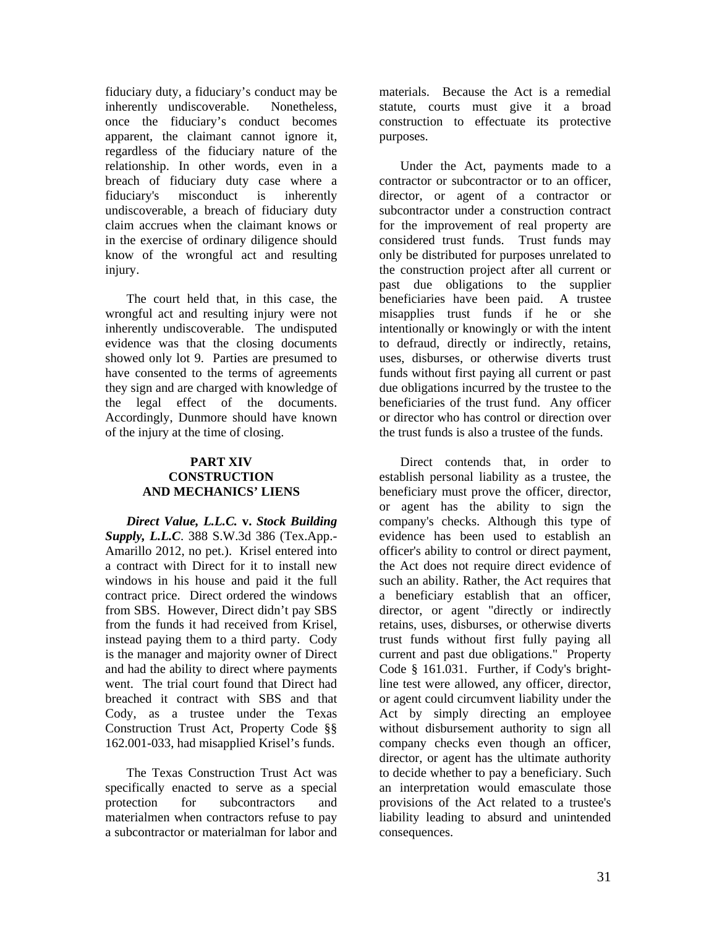fiduciary duty, a fiduciary's conduct may be inherently undiscoverable. Nonetheless, once the fiduciary's conduct becomes apparent, the claimant cannot ignore it, regardless of the fiduciary nature of the relationship. In other words, even in a breach of fiduciary duty case where a fiduciary's misconduct is inherently undiscoverable, a breach of fiduciary duty claim accrues when the claimant knows or in the exercise of ordinary diligence should know of the wrongful act and resulting injury.

The court held that, in this case, the wrongful act and resulting injury were not inherently undiscoverable. The undisputed evidence was that the closing documents showed only lot 9. Parties are presumed to have consented to the terms of agreements they sign and are charged with knowledge of the legal effect of the documents. Accordingly, Dunmore should have known of the injury at the time of closing.

#### **PART XIV CONSTRUCTION AND MECHANICS' LIENS**

*Direct Value, L.L.C.* **v.** *Stock Building Supply, L.L.C*. 388 S.W.3d 386 (Tex.App.- Amarillo 2012, no pet.). Krisel entered into a contract with Direct for it to install new windows in his house and paid it the full contract price. Direct ordered the windows from SBS. However, Direct didn't pay SBS from the funds it had received from Krisel, instead paying them to a third party. Cody is the manager and majority owner of Direct and had the ability to direct where payments went. The trial court found that Direct had breached it contract with SBS and that Cody, as a trustee under the Texas Construction Trust Act, Property Code §§ 162.001-033, had misapplied Krisel's funds.

The Texas Construction Trust Act was specifically enacted to serve as a special protection for subcontractors and materialmen when contractors refuse to pay a subcontractor or materialman for labor and

materials. Because the Act is a remedial statute, courts must give it a broad construction to effectuate its protective purposes.

Under the Act, payments made to a contractor or subcontractor or to an officer, director, or agent of a contractor or subcontractor under a construction contract for the improvement of real property are considered trust funds. Trust funds may only be distributed for purposes unrelated to the construction project after all current or past due obligations to the supplier beneficiaries have been paid. A trustee misapplies trust funds if he or she intentionally or knowingly or with the intent to defraud, directly or indirectly, retains, uses, disburses, or otherwise diverts trust funds without first paying all current or past due obligations incurred by the trustee to the beneficiaries of the trust fund. Any officer or director who has control or direction over the trust funds is also a trustee of the funds.

Direct contends that, in order to establish personal liability as a trustee, the beneficiary must prove the officer, director, or agent has the ability to sign the company's checks. Although this type of evidence has been used to establish an officer's ability to control or direct payment, the Act does not require direct evidence of such an ability. Rather, the Act requires that a beneficiary establish that an officer, director, or agent "directly or indirectly retains, uses, disburses, or otherwise diverts trust funds without first fully paying all current and past due obligations." Property Code § 161.031. Further, if Cody's brightline test were allowed, any officer, director, or agent could circumvent liability under the Act by simply directing an employee without disbursement authority to sign all company checks even though an officer, director, or agent has the ultimate authority to decide whether to pay a beneficiary. Such an interpretation would emasculate those provisions of the Act related to a trustee's liability leading to absurd and unintended consequences.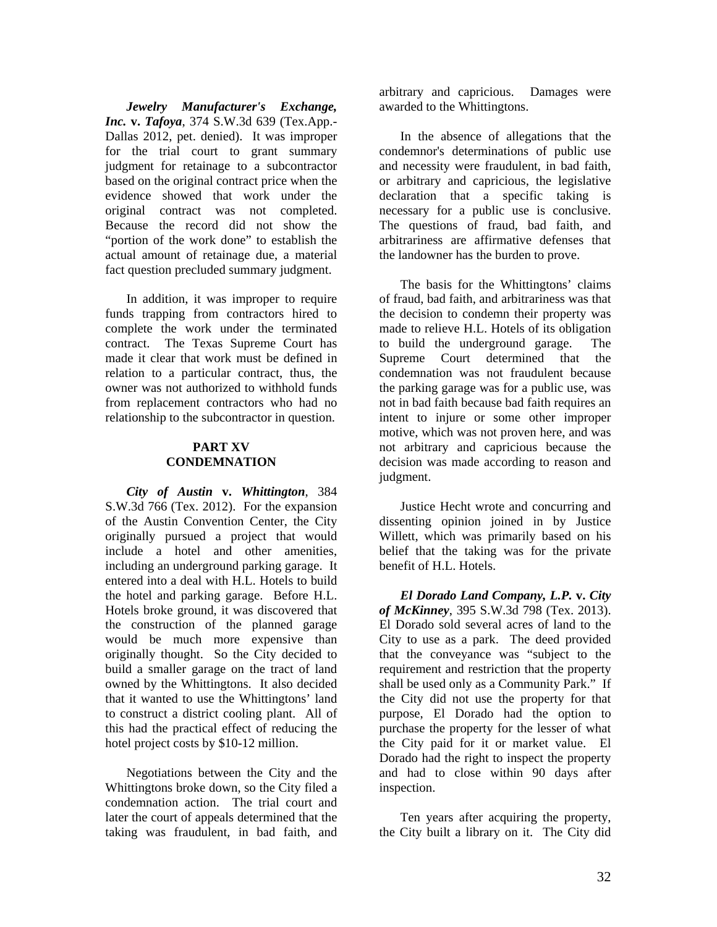*Jewelry Manufacturer's Exchange, Inc.* **v.** *Tafoya*, 374 S.W.3d 639 (Tex.App.- Dallas 2012, pet. denied). It was improper for the trial court to grant summary judgment for retainage to a subcontractor based on the original contract price when the evidence showed that work under the original contract was not completed. Because the record did not show the "portion of the work done" to establish the actual amount of retainage due, a material fact question precluded summary judgment.

In addition, it was improper to require funds trapping from contractors hired to complete the work under the terminated contract. The Texas Supreme Court has made it clear that work must be defined in relation to a particular contract, thus, the owner was not authorized to withhold funds from replacement contractors who had no relationship to the subcontractor in question.

#### **PART XV CONDEMNATION**

*City of Austin* **v.** *Whittington*, 384 S.W.3d 766 (Tex. 2012). For the expansion of the Austin Convention Center, the City originally pursued a project that would include a hotel and other amenities, including an underground parking garage. It entered into a deal with H.L. Hotels to build the hotel and parking garage. Before H.L. Hotels broke ground, it was discovered that the construction of the planned garage would be much more expensive than originally thought. So the City decided to build a smaller garage on the tract of land owned by the Whittingtons. It also decided that it wanted to use the Whittingtons' land to construct a district cooling plant. All of this had the practical effect of reducing the hotel project costs by \$10-12 million.

Negotiations between the City and the Whittingtons broke down, so the City filed a condemnation action. The trial court and later the court of appeals determined that the taking was fraudulent, in bad faith, and

arbitrary and capricious. Damages were awarded to the Whittingtons.

In the absence of allegations that the condemnor's determinations of public use and necessity were fraudulent, in bad faith, or arbitrary and capricious, the legislative declaration that a specific taking is necessary for a public use is conclusive. The questions of fraud, bad faith, and arbitrariness are affirmative defenses that the landowner has the burden to prove.

The basis for the Whittingtons' claims of fraud, bad faith, and arbitrariness was that the decision to condemn their property was made to relieve H.L. Hotels of its obligation to build the underground garage. The Supreme Court determined that the condemnation was not fraudulent because the parking garage was for a public use, was not in bad faith because bad faith requires an intent to injure or some other improper motive, which was not proven here, and was not arbitrary and capricious because the decision was made according to reason and judgment.

Justice Hecht wrote and concurring and dissenting opinion joined in by Justice Willett, which was primarily based on his belief that the taking was for the private benefit of H.L. Hotels.

*El Dorado Land Company, L.P.* **v.** *City of McKinney*, 395 S.W.3d 798 (Tex. 2013). El Dorado sold several acres of land to the City to use as a park. The deed provided that the conveyance was "subject to the requirement and restriction that the property shall be used only as a Community Park." If the City did not use the property for that purpose, El Dorado had the option to purchase the property for the lesser of what the City paid for it or market value. El Dorado had the right to inspect the property and had to close within 90 days after inspection.

Ten years after acquiring the property, the City built a library on it. The City did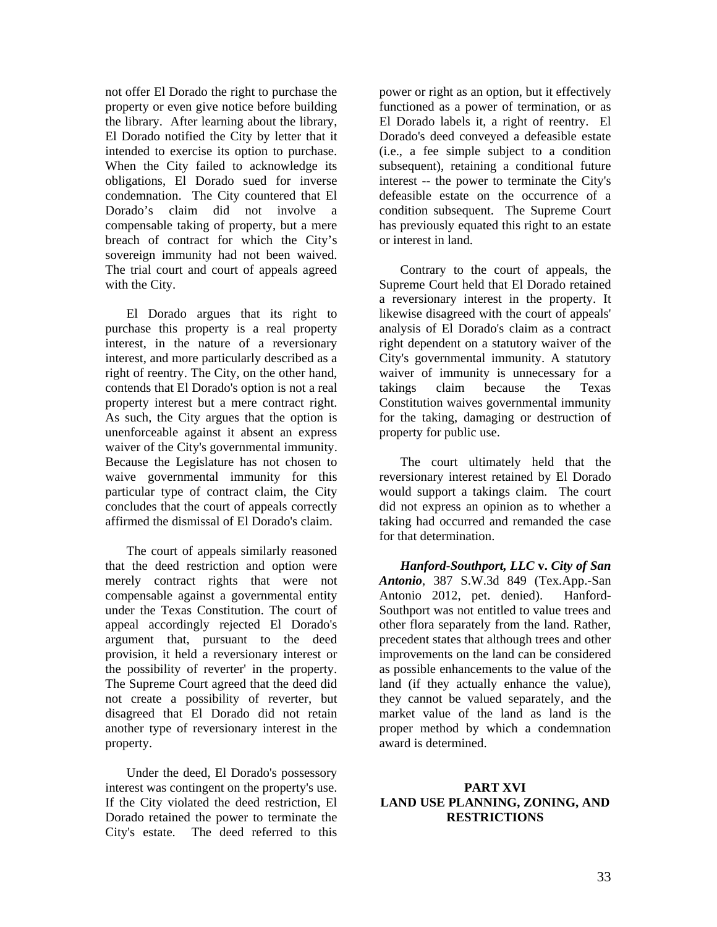not offer El Dorado the right to purchase the property or even give notice before building the library. After learning about the library, El Dorado notified the City by letter that it intended to exercise its option to purchase. When the City failed to acknowledge its obligations, El Dorado sued for inverse condemnation. The City countered that El Dorado's claim did not involve a compensable taking of property, but a mere breach of contract for which the City's sovereign immunity had not been waived. The trial court and court of appeals agreed with the City.

El Dorado argues that its right to purchase this property is a real property interest, in the nature of a reversionary interest, and more particularly described as a right of reentry. The City, on the other hand, contends that El Dorado's option is not a real property interest but a mere contract right. As such, the City argues that the option is unenforceable against it absent an express waiver of the City's governmental immunity. Because the Legislature has not chosen to waive governmental immunity for this particular type of contract claim, the City concludes that the court of appeals correctly affirmed the dismissal of El Dorado's claim.

The court of appeals similarly reasoned that the deed restriction and option were merely contract rights that were not compensable against a governmental entity under the Texas Constitution. The court of appeal accordingly rejected El Dorado's argument that, pursuant to the deed provision, it held a reversionary interest or the possibility of reverter' in the property. The Supreme Court agreed that the deed did not create a possibility of reverter, but disagreed that El Dorado did not retain another type of reversionary interest in the property.

Under the deed, El Dorado's possessory interest was contingent on the property's use. If the City violated the deed restriction, El Dorado retained the power to terminate the City's estate. The deed referred to this

power or right as an option, but it effectively functioned as a power of termination, or as El Dorado labels it, a right of reentry. El Dorado's deed conveyed a defeasible estate (i.e., a fee simple subject to a condition subsequent), retaining a conditional future interest -- the power to terminate the City's defeasible estate on the occurrence of a condition subsequent. The Supreme Court has previously equated this right to an estate or interest in land.

Contrary to the court of appeals, the Supreme Court held that El Dorado retained a reversionary interest in the property. It likewise disagreed with the court of appeals' analysis of El Dorado's claim as a contract right dependent on a statutory waiver of the City's governmental immunity. A statutory waiver of immunity is unnecessary for a takings claim because the Texas Constitution waives governmental immunity for the taking, damaging or destruction of property for public use.

The court ultimately held that the reversionary interest retained by El Dorado would support a takings claim. The court did not express an opinion as to whether a taking had occurred and remanded the case for that determination.

*Hanford-Southport, LLC* **v.** *City of San Antonio*, 387 S.W.3d 849 (Tex.App.-San Antonio 2012, pet. denied). Hanford-Southport was not entitled to value trees and other flora separately from the land. Rather, precedent states that although trees and other improvements on the land can be considered as possible enhancements to the value of the land (if they actually enhance the value), they cannot be valued separately, and the market value of the land as land is the proper method by which a condemnation award is determined.

#### **PART XVI LAND USE PLANNING, ZONING, AND RESTRICTIONS**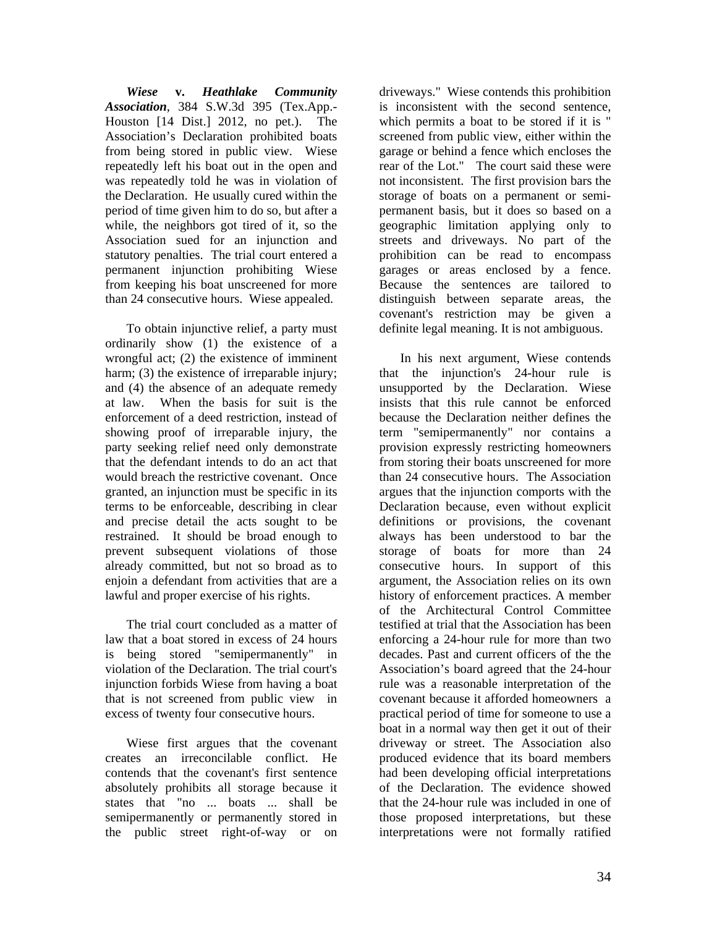*Wiese* **v.** *Heathlake Community Association*, 384 S.W.3d 395 (Tex.App.- Houston [14 Dist.] 2012, no pet.). The Association's Declaration prohibited boats from being stored in public view. Wiese repeatedly left his boat out in the open and was repeatedly told he was in violation of the Declaration. He usually cured within the period of time given him to do so, but after a while, the neighbors got tired of it, so the Association sued for an injunction and statutory penalties. The trial court entered a permanent injunction prohibiting Wiese from keeping his boat unscreened for more than 24 consecutive hours. Wiese appealed.

To obtain injunctive relief, a party must ordinarily show (1) the existence of a wrongful act; (2) the existence of imminent harm; (3) the existence of irreparable injury; and (4) the absence of an adequate remedy at law. When the basis for suit is the enforcement of a deed restriction, instead of showing proof of irreparable injury, the party seeking relief need only demonstrate that the defendant intends to do an act that would breach the restrictive covenant. Once granted, an injunction must be specific in its terms to be enforceable, describing in clear and precise detail the acts sought to be restrained. It should be broad enough to prevent subsequent violations of those already committed, but not so broad as to enjoin a defendant from activities that are a lawful and proper exercise of his rights.

The trial court concluded as a matter of law that a boat stored in excess of 24 hours is being stored "semipermanently" in violation of the Declaration. The trial court's injunction forbids Wiese from having a boat that is not screened from public view in excess of twenty four consecutive hours.

Wiese first argues that the covenant creates an irreconcilable conflict. He contends that the covenant's first sentence absolutely prohibits all storage because it states that "no ... boats ... shall be semipermanently or permanently stored in the public street right-of-way or on

driveways." Wiese contends this prohibition is inconsistent with the second sentence, which permits a boat to be stored if it is " screened from public view, either within the garage or behind a fence which encloses the rear of the Lot." The court said these were not inconsistent. The first provision bars the storage of boats on a permanent or semipermanent basis, but it does so based on a geographic limitation applying only to streets and driveways. No part of the prohibition can be read to encompass garages or areas enclosed by a fence. Because the sentences are tailored to distinguish between separate areas, the covenant's restriction may be given a definite legal meaning. It is not ambiguous.

In his next argument, Wiese contends that the injunction's 24-hour rule is unsupported by the Declaration. Wiese insists that this rule cannot be enforced because the Declaration neither defines the term "semipermanently" nor contains a provision expressly restricting homeowners from storing their boats unscreened for more than 24 consecutive hours. The Association argues that the injunction comports with the Declaration because, even without explicit definitions or provisions, the covenant always has been understood to bar the storage of boats for more than 24 consecutive hours. In support of this argument, the Association relies on its own history of enforcement practices. A member of the Architectural Control Committee testified at trial that the Association has been enforcing a 24-hour rule for more than two decades. Past and current officers of the the Association's board agreed that the 24-hour rule was a reasonable interpretation of the covenant because it afforded homeowners a practical period of time for someone to use a boat in a normal way then get it out of their driveway or street. The Association also produced evidence that its board members had been developing official interpretations of the Declaration. The evidence showed that the 24-hour rule was included in one of those proposed interpretations, but these interpretations were not formally ratified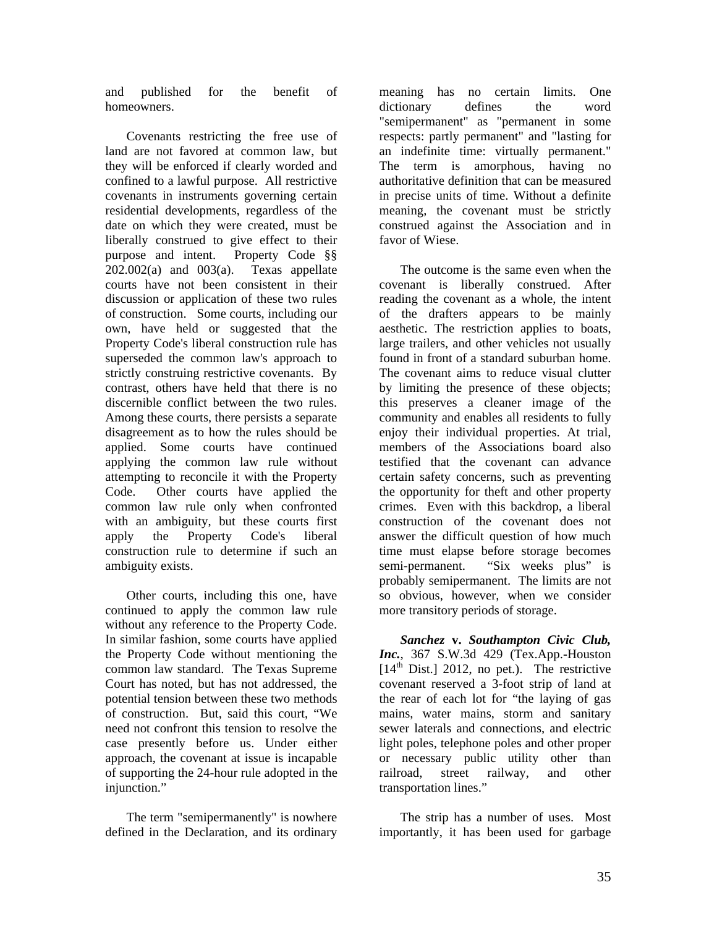and published for the benefit of homeowners.

Covenants restricting the free use of land are not favored at common law, but they will be enforced if clearly worded and confined to a lawful purpose. All restrictive covenants in instruments governing certain residential developments, regardless of the date on which they were created, must be liberally construed to give effect to their purpose and intent. Property Code §§  $202.002(a)$  and  $003(a)$ . Texas appellate courts have not been consistent in their discussion or application of these two rules of construction. Some courts, including our own, have held or suggested that the Property Code's liberal construction rule has superseded the common law's approach to strictly construing restrictive covenants. By contrast, others have held that there is no discernible conflict between the two rules. Among these courts, there persists a separate disagreement as to how the rules should be applied. Some courts have continued applying the common law rule without attempting to reconcile it with the Property Code. Other courts have applied the common law rule only when confronted with an ambiguity, but these courts first apply the Property Code's liberal construction rule to determine if such an ambiguity exists.

Other courts, including this one, have continued to apply the common law rule without any reference to the Property Code. In similar fashion, some courts have applied the Property Code without mentioning the common law standard. The Texas Supreme Court has noted, but has not addressed, the potential tension between these two methods of construction. But, said this court, "We need not confront this tension to resolve the case presently before us. Under either approach, the covenant at issue is incapable of supporting the 24-hour rule adopted in the injunction."

The term "semipermanently" is nowhere defined in the Declaration, and its ordinary

meaning has no certain limits. One dictionary defines the word "semipermanent" as "permanent in some respects: partly permanent" and "lasting for an indefinite time: virtually permanent." The term is amorphous, having no authoritative definition that can be measured in precise units of time. Without a definite meaning, the covenant must be strictly construed against the Association and in favor of Wiese.

The outcome is the same even when the covenant is liberally construed. After reading the covenant as a whole, the intent of the drafters appears to be mainly aesthetic. The restriction applies to boats, large trailers, and other vehicles not usually found in front of a standard suburban home. The covenant aims to reduce visual clutter by limiting the presence of these objects; this preserves a cleaner image of the community and enables all residents to fully enjoy their individual properties. At trial, members of the Associations board also testified that the covenant can advance certain safety concerns, such as preventing the opportunity for theft and other property crimes. Even with this backdrop, a liberal construction of the covenant does not answer the difficult question of how much time must elapse before storage becomes semi-permanent. "Six weeks plus" is probably semipermanent. The limits are not so obvious, however, when we consider more transitory periods of storage.

*Sanchez* **v.** *Southampton Civic Club, Inc.*, 367 S.W.3d 429 (Tex.App.-Houston  $[14<sup>th</sup> Dist.]$  2012, no pet.). The restrictive covenant reserved a 3-foot strip of land at the rear of each lot for "the laying of gas mains, water mains, storm and sanitary sewer laterals and connections, and electric light poles, telephone poles and other proper or necessary public utility other than railroad, street railway, and other transportation lines."

The strip has a number of uses. Most importantly, it has been used for garbage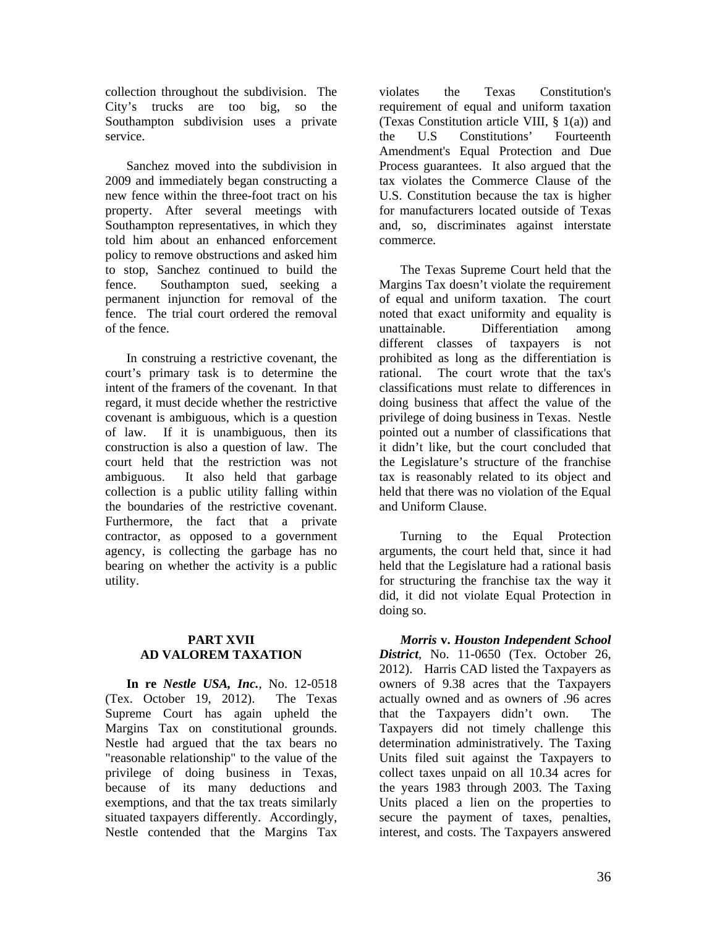collection throughout the subdivision. The City's trucks are too big, so the Southampton subdivision uses a private service.

Sanchez moved into the subdivision in 2009 and immediately began constructing a new fence within the three-foot tract on his property. After several meetings with Southampton representatives, in which they told him about an enhanced enforcement policy to remove obstructions and asked him to stop, Sanchez continued to build the fence. Southampton sued, seeking a permanent injunction for removal of the fence. The trial court ordered the removal of the fence.

In construing a restrictive covenant, the court's primary task is to determine the intent of the framers of the covenant. In that regard, it must decide whether the restrictive covenant is ambiguous, which is a question of law. If it is unambiguous, then its construction is also a question of law. The court held that the restriction was not ambiguous. It also held that garbage collection is a public utility falling within the boundaries of the restrictive covenant. Furthermore, the fact that a private contractor, as opposed to a government agency, is collecting the garbage has no bearing on whether the activity is a public utility.

#### **PART XVII AD VALOREM TAXATION**

**In re** *Nestle USA, Inc.*, No. 12-0518 (Tex. October 19, 2012). The Texas Supreme Court has again upheld the Margins Tax on constitutional grounds. Nestle had argued that the tax bears no "reasonable relationship" to the value of the privilege of doing business in Texas, because of its many deductions and exemptions, and that the tax treats similarly situated taxpayers differently. Accordingly, Nestle contended that the Margins Tax

violates the Texas Constitution's requirement of equal and uniform taxation (Texas Constitution article VIII, § 1(a)) and the U.S Constitutions' Fourteenth Amendment's Equal Protection and Due Process guarantees. It also argued that the tax violates the Commerce Clause of the U.S. Constitution because the tax is higher for manufacturers located outside of Texas and, so, discriminates against interstate commerce.

The Texas Supreme Court held that the Margins Tax doesn't violate the requirement of equal and uniform taxation. The court noted that exact uniformity and equality is unattainable. Differentiation among different classes of taxpayers is not prohibited as long as the differentiation is rational. The court wrote that the tax's classifications must relate to differences in doing business that affect the value of the privilege of doing business in Texas. Nestle pointed out a number of classifications that it didn't like, but the court concluded that the Legislature's structure of the franchise tax is reasonably related to its object and held that there was no violation of the Equal and Uniform Clause.

Turning to the Equal Protection arguments, the court held that, since it had held that the Legislature had a rational basis for structuring the franchise tax the way it did, it did not violate Equal Protection in doing so.

*Morris* **v.** *Houston Independent School District*, No. 11-0650 (Tex. October 26, 2012). Harris CAD listed the Taxpayers as owners of 9.38 acres that the Taxpayers actually owned and as owners of .96 acres that the Taxpayers didn't own. The Taxpayers did not timely challenge this determination administratively. The Taxing Units filed suit against the Taxpayers to collect taxes unpaid on all 10.34 acres for the years 1983 through 2003. The Taxing Units placed a lien on the properties to secure the payment of taxes, penalties, interest, and costs. The Taxpayers answered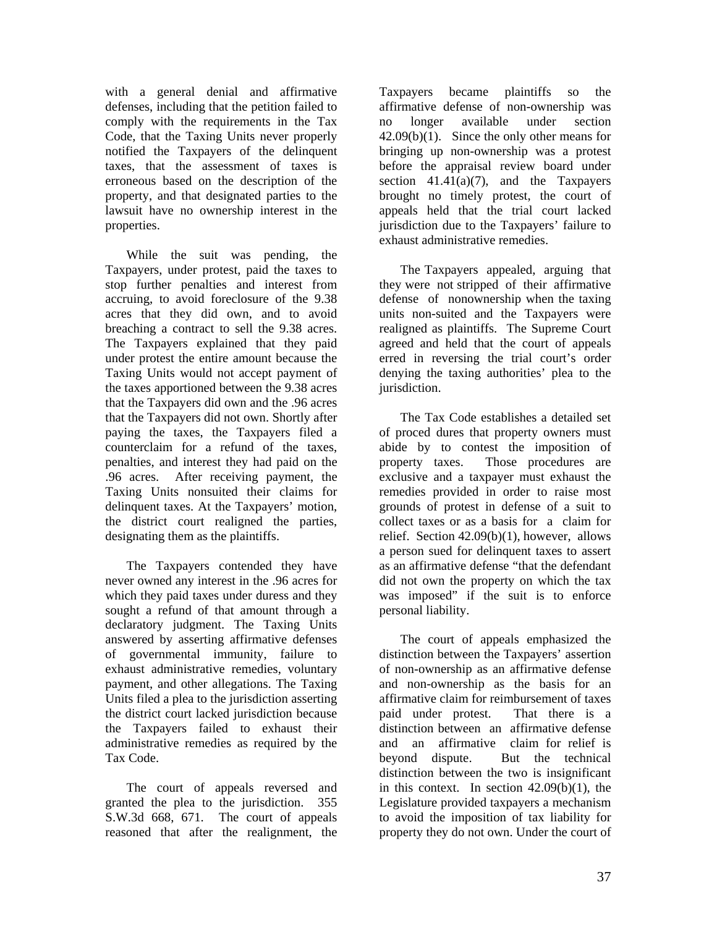with a general denial and affirmative defenses, including that the petition failed to comply with the requirements in the Tax Code, that the Taxing Units never properly notified the Taxpayers of the delinquent taxes, that the assessment of taxes is erroneous based on the description of the property, and that designated parties to the lawsuit have no ownership interest in the properties.

While the suit was pending, the Taxpayers, under protest, paid the taxes to stop further penalties and interest from accruing, to avoid foreclosure of the 9.38 acres that they did own, and to avoid breaching a contract to sell the 9.38 acres. The Taxpayers explained that they paid under protest the entire amount because the Taxing Units would not accept payment of the taxes apportioned between the 9.38 acres that the Taxpayers did own and the .96 acres that the Taxpayers did not own. Shortly after paying the taxes, the Taxpayers filed a counterclaim for a refund of the taxes, penalties, and interest they had paid on the .96 acres. After receiving payment, the Taxing Units nonsuited their claims for delinquent taxes. At the Taxpayers' motion, the district court realigned the parties, designating them as the plaintiffs.

The Taxpayers contended they have never owned any interest in the .96 acres for which they paid taxes under duress and they sought a refund of that amount through a declaratory judgment. The Taxing Units answered by asserting affirmative defenses of governmental immunity, failure to exhaust administrative remedies, voluntary payment, and other allegations. The Taxing Units filed a plea to the jurisdiction asserting the district court lacked jurisdiction because the Taxpayers failed to exhaust their administrative remedies as required by the Tax Code.

The court of appeals reversed and granted the plea to the jurisdiction. 355 S.W.3d 668, 671. The court of appeals reasoned that after the realignment, the

Taxpayers became plaintiffs so the affirmative defense of non-ownership was no longer available under section  $42.09(b)(1)$ . Since the only other means for bringing up non-ownership was a protest before the appraisal review board under section  $41.41(a)(7)$ , and the Taxpayers brought no timely protest, the court of appeals held that the trial court lacked jurisdiction due to the Taxpayers' failure to exhaust administrative remedies.

The Taxpayers appealed, arguing that they were not stripped of their affirmative defense of nonownership when the taxing units non-suited and the Taxpayers were realigned as plaintiffs. The Supreme Court agreed and held that the court of appeals erred in reversing the trial court's order denying the taxing authorities' plea to the jurisdiction.

The Tax Code establishes a detailed set of proced dures that property owners must abide by to contest the imposition of property taxes. Those procedures are exclusive and a taxpayer must exhaust the remedies provided in order to raise most grounds of protest in defense of a suit to collect taxes or as a basis for a claim for relief. Section 42.09(b)(1), however, allows a person sued for delinquent taxes to assert as an affirmative defense "that the defendant did not own the property on which the tax was imposed" if the suit is to enforce personal liability.

The court of appeals emphasized the distinction between the Taxpayers' assertion of non-ownership as an affirmative defense and non-ownership as the basis for an affirmative claim for reimbursement of taxes paid under protest. That there is a distinction between an affirmative defense and an affirmative claim for relief is beyond dispute. But the technical distinction between the two is insignificant in this context. In section 42.09(b)(1), the Legislature provided taxpayers a mechanism to avoid the imposition of tax liability for property they do not own. Under the court of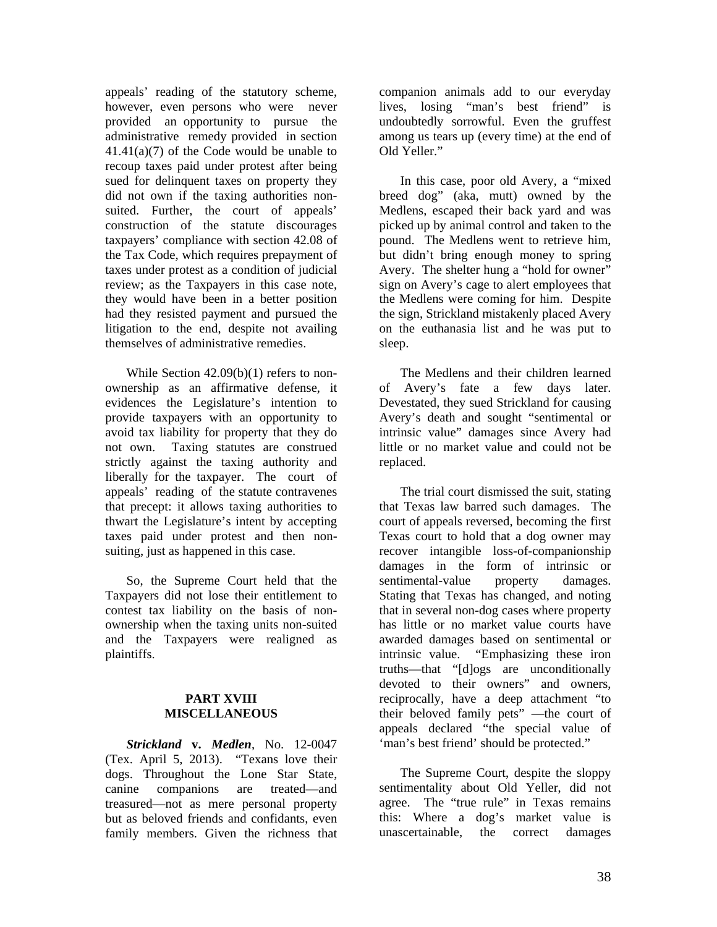appeals' reading of the statutory scheme, however, even persons who were never provided an opportunity to pursue the administrative remedy provided in section 41.41(a)(7) of the Code would be unable to recoup taxes paid under protest after being sued for delinquent taxes on property they did not own if the taxing authorities nonsuited. Further, the court of appeals' construction of the statute discourages taxpayers' compliance with section 42.08 of the Tax Code, which requires prepayment of taxes under protest as a condition of judicial review; as the Taxpayers in this case note, they would have been in a better position had they resisted payment and pursued the litigation to the end, despite not availing themselves of administrative remedies.

While Section 42.09(b)(1) refers to nonownership as an affirmative defense, it evidences the Legislature's intention to provide taxpayers with an opportunity to avoid tax liability for property that they do not own. Taxing statutes are construed strictly against the taxing authority and liberally for the taxpayer. The court of appeals' reading of the statute contravenes that precept: it allows taxing authorities to thwart the Legislature's intent by accepting taxes paid under protest and then nonsuiting, just as happened in this case.

So, the Supreme Court held that the Taxpayers did not lose their entitlement to contest tax liability on the basis of nonownership when the taxing units non-suited and the Taxpayers were realigned as plaintiffs.

#### **PART XVIII MISCELLANEOUS**

*Strickland* **v.** *Medlen*, No. 12-0047 (Tex. April 5, 2013). "Texans love their dogs. Throughout the Lone Star State, canine companions are treated—and treasured—not as mere personal property but as beloved friends and confidants, even family members. Given the richness that

companion animals add to our everyday lives, losing "man's best friend" is undoubtedly sorrowful. Even the gruffest among us tears up (every time) at the end of Old Yeller."

In this case, poor old Avery, a "mixed breed dog" (aka, mutt) owned by the Medlens, escaped their back yard and was picked up by animal control and taken to the pound. The Medlens went to retrieve him, but didn't bring enough money to spring Avery. The shelter hung a "hold for owner" sign on Avery's cage to alert employees that the Medlens were coming for him. Despite the sign, Strickland mistakenly placed Avery on the euthanasia list and he was put to sleep.

The Medlens and their children learned of Avery's fate a few days later. Devestated, they sued Strickland for causing Avery's death and sought "sentimental or intrinsic value" damages since Avery had little or no market value and could not be replaced.

The trial court dismissed the suit, stating that Texas law barred such damages. The court of appeals reversed, becoming the first Texas court to hold that a dog owner may recover intangible loss-of-companionship damages in the form of intrinsic or sentimental-value property damages. Stating that Texas has changed, and noting that in several non-dog cases where property has little or no market value courts have awarded damages based on sentimental or intrinsic value. "Emphasizing these iron truths—that "[d]ogs are unconditionally devoted to their owners" and owners, reciprocally, have a deep attachment "to their beloved family pets" —the court of appeals declared "the special value of 'man's best friend' should be protected."

The Supreme Court, despite the sloppy sentimentality about Old Yeller, did not agree. The "true rule" in Texas remains this: Where a dog's market value is unascertainable, the correct damages